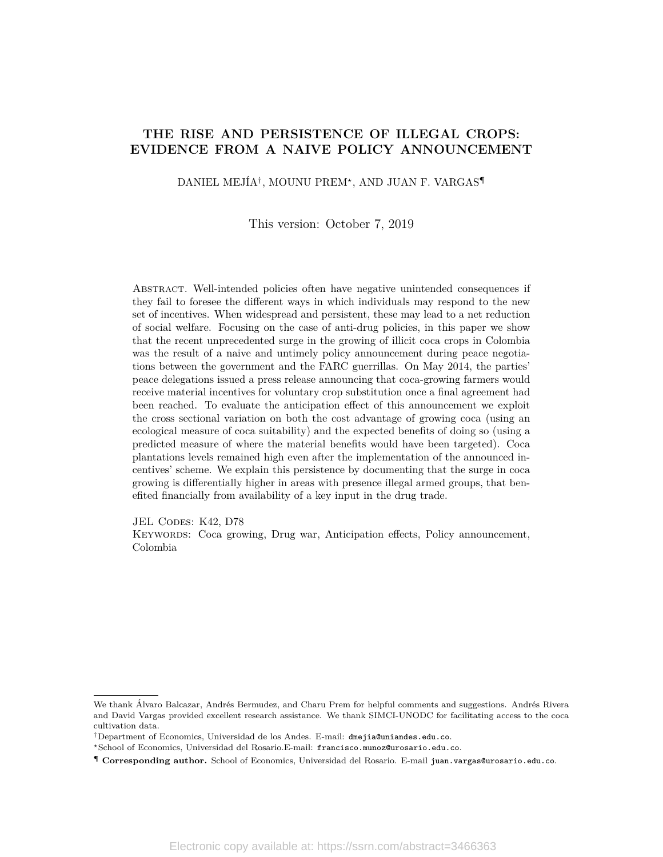# **THE RISE AND PERSISTENCE OF ILLEGAL CROPS: EVIDENCE FROM A NAIVE POLICY ANNOUNCEMENT**

DANIEL MEJÍA<sup>†</sup>, MOUNU PREM<sup>\*</sup>, AND JUAN F. VARGAS¶

This version: October 7, 2019

Abstract. Well-intended policies often have negative unintended consequences if they fail to foresee the different ways in which individuals may respond to the new set of incentives. When widespread and persistent, these may lead to a net reduction of social welfare. Focusing on the case of anti-drug policies, in this paper we show that the recent unprecedented surge in the growing of illicit coca crops in Colombia was the result of a naive and untimely policy announcement during peace negotiations between the government and the FARC guerrillas. On May 2014, the parties' peace delegations issued a press release announcing that coca-growing farmers would receive material incentives for voluntary crop substitution once a final agreement had been reached. To evaluate the anticipation effect of this announcement we exploit the cross sectional variation on both the cost advantage of growing coca (using an ecological measure of coca suitability) and the expected benefits of doing so (using a predicted measure of where the material benefits would have been targeted). Coca plantations levels remained high even after the implementation of the announced incentives' scheme. We explain this persistence by documenting that the surge in coca growing is differentially higher in areas with presence illegal armed groups, that benefited financially from availability of a key input in the drug trade.

JEL CODES: K42, D78

Keywords: Coca growing, Drug war, Anticipation effects, Policy announcement, Colombia

We thank Álvaro Balcazar, Andrés Bermudez, and Charu Prem for helpful comments and suggestions. Andrés Rivera and David Vargas provided excellent research assistance. We thank SIMCI-UNODC for facilitating access to the coca cultivation data.

<sup>†</sup>Department of Economics, Universidad de los Andes. E-mail: dmejia@uniandes.edu.co.

*<sup>?</sup>*School of Economics, Universidad del Rosario.E-mail: francisco.munoz@urosario.edu.co.

<sup>¶</sup> **Corresponding author.** School of Economics, Universidad del Rosario. E-mail juan.vargas@urosario.edu.co.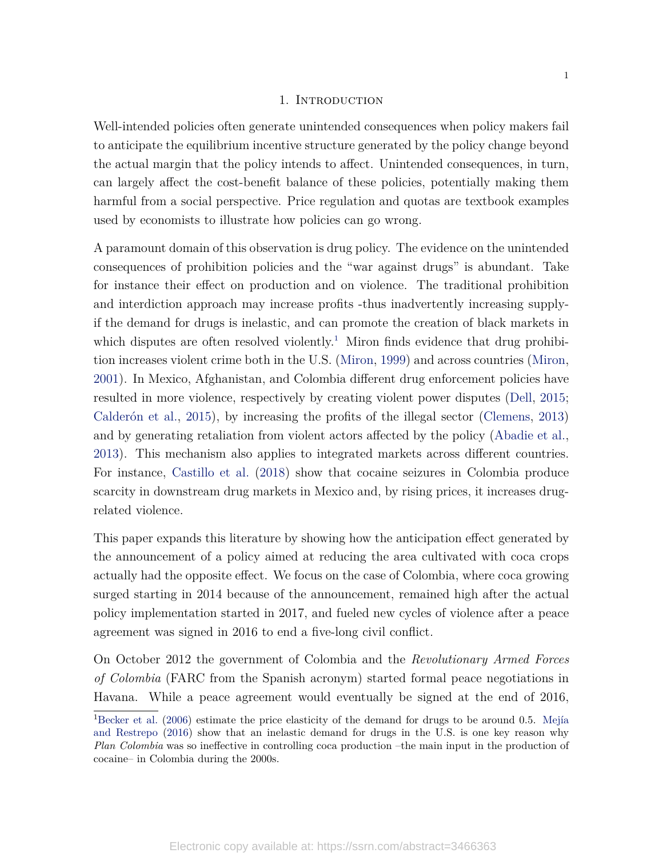#### 1. INTRODUCTION

Well-intended policies often generate unintended consequences when policy makers fail to anticipate the equilibrium incentive structure generated by the policy change beyond the actual margin that the policy intends to affect. Unintended consequences, in turn, can largely affect the cost-benefit balance of these policies, potentially making them harmful from a social perspective. Price regulation and quotas are textbook examples used by economists to illustrate how policies can go wrong.

A paramount domain of this observation is drug policy. The evidence on the unintended consequences of prohibition policies and the "war against drugs" is abundant. Take for instance their effect on production and on violence. The traditional prohibition and interdiction approach may increase profits -thus inadvertently increasing supplyif the demand for drugs is inelastic, and can promote the creation of black markets in which disputes are often resolved violently.<sup>[1](#page-1-0)</sup> Miron finds evidence that drug prohibition increases violent crime both in the U.S. [\(Miron,](#page-26-0) [1999\)](#page-26-0) and across countries [\(Miron,](#page-26-1) [2001\)](#page-26-1). In Mexico, Afghanistan, and Colombia different drug enforcement policies have resulted in more violence, respectively by creating violent power disputes [\(Dell,](#page-26-2) [2015;](#page-26-2) Calderón et al., [2015\)](#page-25-0), by increasing the profits of the illegal sector [\(Clemens,](#page-25-1)  $2013$ ) and by generating retaliation from violent actors affected by the policy [\(Abadie et al.,](#page-25-2) [2013\)](#page-25-2). This mechanism also applies to integrated markets across different countries. For instance, [Castillo et al.](#page-25-3) [\(2018\)](#page-25-3) show that cocaine seizures in Colombia produce scarcity in downstream drug markets in Mexico and, by rising prices, it increases drugrelated violence.

This paper expands this literature by showing how the anticipation effect generated by the announcement of a policy aimed at reducing the area cultivated with coca crops actually had the opposite effect. We focus on the case of Colombia, where coca growing surged starting in 2014 because of the announcement, remained high after the actual policy implementation started in 2017, and fueled new cycles of violence after a peace agreement was signed in 2016 to end a five-long civil conflict.

On October 2012 the government of Colombia and the *Revolutionary Armed Forces of Colombia* (FARC from the Spanish acronym) started formal peace negotiations in Havana. While a peace agreement would eventually be signed at the end of 2016,

<span id="page-1-0"></span><sup>&</sup>lt;sup>1</sup>[Becker et al.](#page-25-4) [\(2006\)](#page-25-4) estimate the price elasticity of the demand for drugs to be around 0.5. Mejía [and Restrepo](#page-26-3) [\(2016\)](#page-26-3) show that an inelastic demand for drugs in the U.S. is one key reason why *Plan Colombia* was so ineffective in controlling coca production –the main input in the production of cocaine– in Colombia during the 2000s.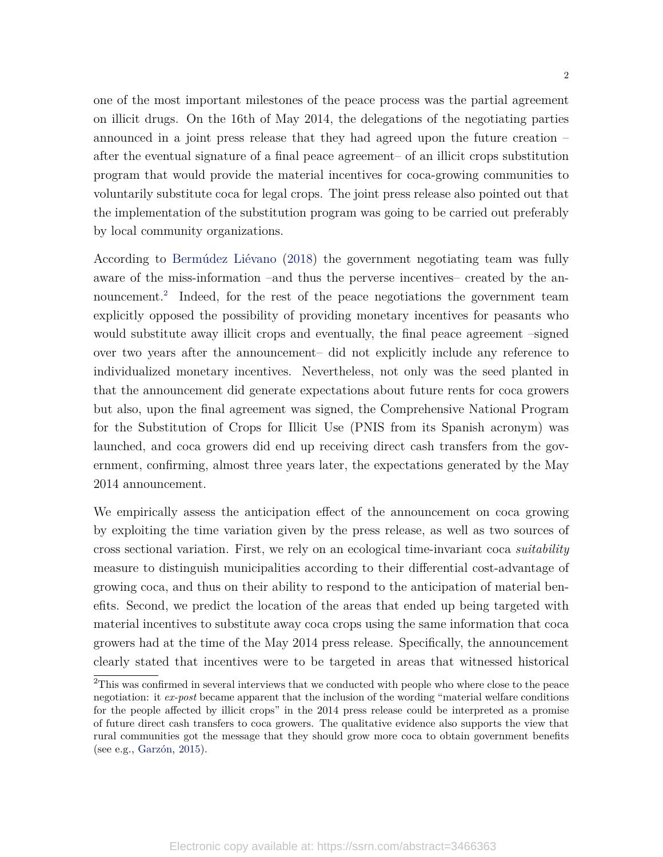one of the most important milestones of the peace process was the partial agreement on illicit drugs. On the 16th of May 2014, the delegations of the negotiating parties announced in a joint press release that they had agreed upon the future creation – after the eventual signature of a final peace agreement– of an illicit crops substitution program that would provide the material incentives for coca-growing communities to voluntarily substitute coca for legal crops. The joint press release also pointed out that the implementation of the substitution program was going to be carried out preferably by local community organizations.

According to Bermúdez Liévano [\(2018\)](#page-25-5) the government negotiating team was fully aware of the miss-information –and thus the perverse incentives– created by the announcement.[2](#page-2-0) Indeed, for the rest of the peace negotiations the government team explicitly opposed the possibility of providing monetary incentives for peasants who would substitute away illicit crops and eventually, the final peace agreement –signed over two years after the announcement– did not explicitly include any reference to individualized monetary incentives. Nevertheless, not only was the seed planted in that the announcement did generate expectations about future rents for coca growers but also, upon the final agreement was signed, the Comprehensive National Program for the Substitution of Crops for Illicit Use (PNIS from its Spanish acronym) was launched, and coca growers did end up receiving direct cash transfers from the government, confirming, almost three years later, the expectations generated by the May 2014 announcement.

We empirically assess the anticipation effect of the announcement on coca growing by exploiting the time variation given by the press release, as well as two sources of cross sectional variation. First, we rely on an ecological time-invariant coca *suitability* measure to distinguish municipalities according to their differential cost-advantage of growing coca, and thus on their ability to respond to the anticipation of material benefits. Second, we predict the location of the areas that ended up being targeted with material incentives to substitute away coca crops using the same information that coca growers had at the time of the May 2014 press release. Specifically, the announcement clearly stated that incentives were to be targeted in areas that witnessed historical

<span id="page-2-0"></span><sup>&</sup>lt;sup>2</sup>This was confirmed in several interviews that we conducted with people who where close to the peace negotiation: it *ex-post* became apparent that the inclusion of the wording "material welfare conditions for the people affected by illicit crops" in the 2014 press release could be interpreted as a promise of future direct cash transfers to coca growers. The qualitative evidence also supports the view that rural communities got the message that they should grow more coca to obtain government benefits (see e.g., Garzón, [2015\)](#page-26-4).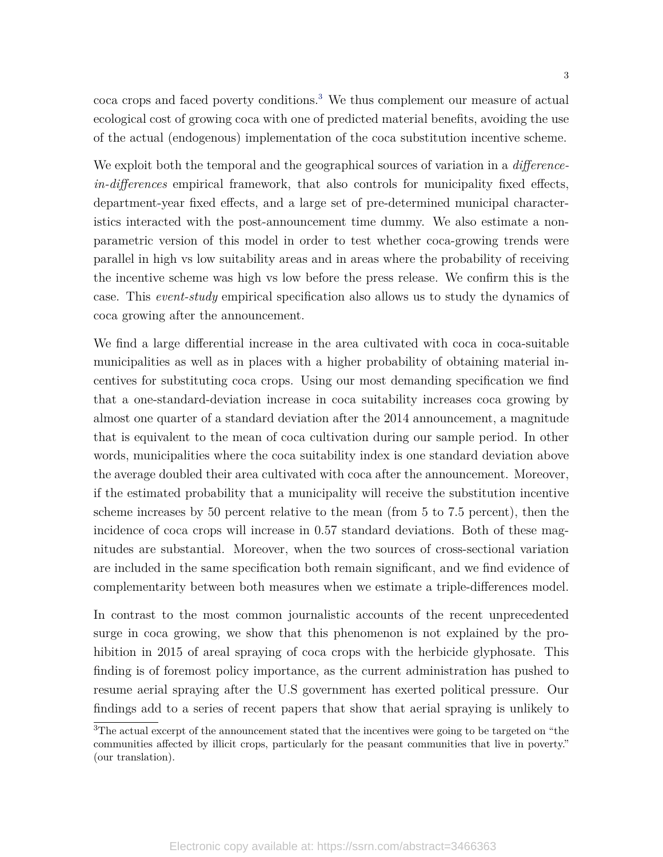coca crops and faced poverty conditions.[3](#page-3-0) We thus complement our measure of actual ecological cost of growing coca with one of predicted material benefits, avoiding the use of the actual (endogenous) implementation of the coca substitution incentive scheme.

We exploit both the temporal and the geographical sources of variation in a *differencein-differences* empirical framework, that also controls for municipality fixed effects, department-year fixed effects, and a large set of pre-determined municipal characteristics interacted with the post-announcement time dummy. We also estimate a nonparametric version of this model in order to test whether coca-growing trends were parallel in high vs low suitability areas and in areas where the probability of receiving the incentive scheme was high vs low before the press release. We confirm this is the case. This *event-study* empirical specification also allows us to study the dynamics of coca growing after the announcement.

We find a large differential increase in the area cultivated with coca in coca-suitable municipalities as well as in places with a higher probability of obtaining material incentives for substituting coca crops. Using our most demanding specification we find that a one-standard-deviation increase in coca suitability increases coca growing by almost one quarter of a standard deviation after the 2014 announcement, a magnitude that is equivalent to the mean of coca cultivation during our sample period. In other words, municipalities where the coca suitability index is one standard deviation above the average doubled their area cultivated with coca after the announcement. Moreover, if the estimated probability that a municipality will receive the substitution incentive scheme increases by 50 percent relative to the mean (from 5 to 7.5 percent), then the incidence of coca crops will increase in 0.57 standard deviations. Both of these magnitudes are substantial. Moreover, when the two sources of cross-sectional variation are included in the same specification both remain significant, and we find evidence of complementarity between both measures when we estimate a triple-differences model.

In contrast to the most common journalistic accounts of the recent unprecedented surge in coca growing, we show that this phenomenon is not explained by the prohibition in 2015 of areal spraying of coca crops with the herbicide glyphosate. This finding is of foremost policy importance, as the current administration has pushed to resume aerial spraying after the U.S government has exerted political pressure. Our findings add to a series of recent papers that show that aerial spraying is unlikely to

<span id="page-3-0"></span><sup>&</sup>lt;sup>3</sup>The actual excerpt of the announcement stated that the incentives were going to be targeted on "the communities affected by illicit crops, particularly for the peasant communities that live in poverty." (our translation).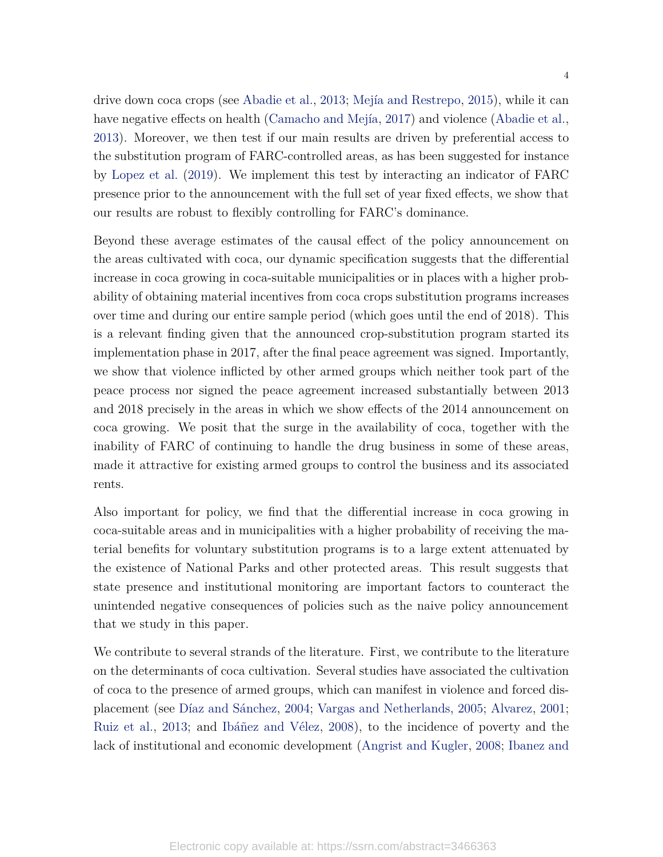drive down coca crops (see [Abadie et al.,](#page-25-2) [2013;](#page-25-2) Mejía and Restrepo, [2015\)](#page-26-5), while it can have negative effects on health (Camacho and Mejía, [2017\)](#page-25-6) and violence [\(Abadie et al.,](#page-25-2) [2013\)](#page-25-2). Moreover, we then test if our main results are driven by preferential access to the substitution program of FARC-controlled areas, as has been suggested for instance by [Lopez et al.](#page-26-6) [\(2019\)](#page-26-6). We implement this test by interacting an indicator of FARC presence prior to the announcement with the full set of year fixed effects, we show that our results are robust to flexibly controlling for FARC's dominance.

Beyond these average estimates of the causal effect of the policy announcement on the areas cultivated with coca, our dynamic specification suggests that the differential increase in coca growing in coca-suitable municipalities or in places with a higher probability of obtaining material incentives from coca crops substitution programs increases over time and during our entire sample period (which goes until the end of 2018). This is a relevant finding given that the announced crop-substitution program started its implementation phase in 2017, after the final peace agreement was signed. Importantly, we show that violence inflicted by other armed groups which neither took part of the peace process nor signed the peace agreement increased substantially between 2013 and 2018 precisely in the areas in which we show effects of the 2014 announcement on coca growing. We posit that the surge in the availability of coca, together with the inability of FARC of continuing to handle the drug business in some of these areas, made it attractive for existing armed groups to control the business and its associated rents.

Also important for policy, we find that the differential increase in coca growing in coca-suitable areas and in municipalities with a higher probability of receiving the material benefits for voluntary substitution programs is to a large extent attenuated by the existence of National Parks and other protected areas. This result suggests that state presence and institutional monitoring are important factors to counteract the unintended negative consequences of policies such as the naive policy announcement that we study in this paper.

We contribute to several strands of the literature. First, we contribute to the literature on the determinants of coca cultivation. Several studies have associated the cultivation of coca to the presence of armed groups, which can manifest in violence and forced dis-placement (see Díaz and Sánchez, [2004;](#page-26-7) [Vargas and Netherlands,](#page-27-0) [2005;](#page-27-0) [Alvarez,](#page-25-7) [2001;](#page-25-7) [Ruiz et al.,](#page-27-1) [2013;](#page-27-1) and Ibáñez and Vélez, [2008\)](#page-26-8), to the incidence of poverty and the lack of institutional and economic development [\(Angrist and Kugler,](#page-25-8) [2008;](#page-25-8) [Ibanez and](#page-26-9)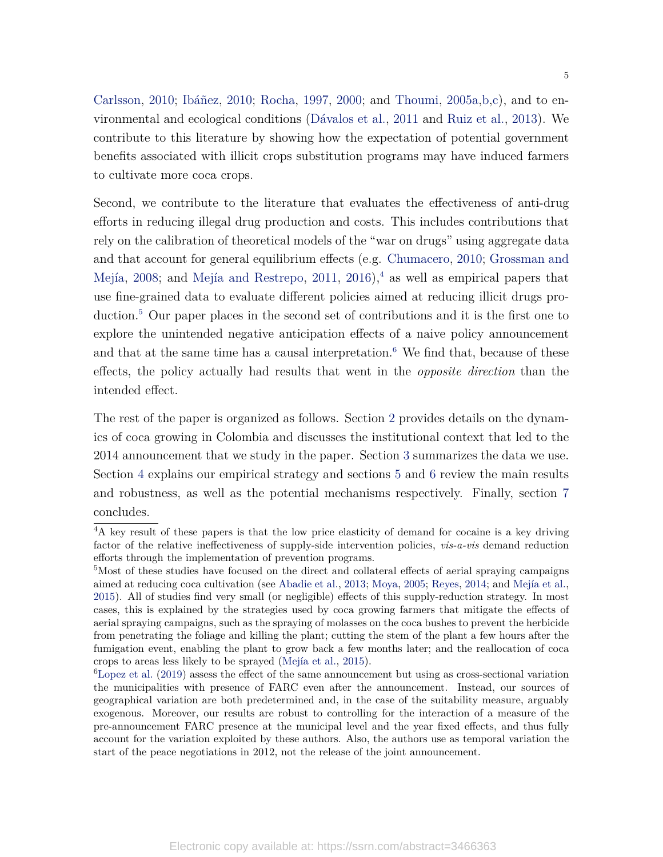[Carlsson,](#page-26-9) [2010;](#page-26-10) Ibáñez, 2010; [Rocha,](#page-27-2) [1997,](#page-27-2) [2000;](#page-27-3) and [Thoumi,](#page-27-4) [2005a,](#page-27-4)[b,](#page-27-5)[c\)](#page-27-6), and to en-vironmental and ecological conditions (Dávalos et al., [2011](#page-25-9) and [Ruiz et al.,](#page-27-1) [2013\)](#page-27-1). We contribute to this literature by showing how the expectation of potential government benefits associated with illicit crops substitution programs may have induced farmers to cultivate more coca crops.

Second, we contribute to the literature that evaluates the effectiveness of anti-drug efforts in reducing illegal drug production and costs. This includes contributions that rely on the calibration of theoretical models of the "war on drugs" using aggregate data and that account for general equilibrium effects (e.g. [Chumacero,](#page-25-10) [2010;](#page-25-10) [Grossman and](#page-26-11) Mejía, [2008;](#page-26-11) and Mejía and Restrepo, [2011,](#page-26-12) [2016\)](#page-26-3),<sup>[4](#page-5-0)</sup> as well as empirical papers that use fine-grained data to evaluate different policies aimed at reducing illicit drugs production.[5](#page-5-1) Our paper places in the second set of contributions and it is the first one to explore the unintended negative anticipation effects of a naive policy announcement and that at the same time has a causal interpretation.<sup>[6](#page-5-2)</sup> We find that, because of these effects, the policy actually had results that went in the *opposite direction* than the intended effect.

The rest of the paper is organized as follows. Section [2](#page-6-0) provides details on the dynamics of coca growing in Colombia and discusses the institutional context that led to the 2014 announcement that we study in the paper. Section [3](#page-8-0) summarizes the data we use. Section [4](#page-12-0) explains our empirical strategy and sections [5](#page-14-0) and [6](#page-17-0) review the main results and robustness, as well as the potential mechanisms respectively. Finally, section [7](#page-23-0) concludes.

<span id="page-5-0"></span><sup>&</sup>lt;sup>4</sup>A key result of these papers is that the low price elasticity of demand for cocaine is a key driving factor of the relative ineffectiveness of supply-side intervention policies, *vis-a-vis* demand reduction efforts through the implementation of prevention programs.

<span id="page-5-1"></span><sup>&</sup>lt;sup>5</sup>Most of these studies have focused on the direct and collateral effects of aerial spraying campaigns aimed at reducing coca cultivation (see [Abadie et al.,](#page-25-2) [2013;](#page-25-2) [Moya,](#page-26-13) [2005;](#page-26-13) [Reyes,](#page-27-7) [2014;](#page-27-7) and Mejía et al., [2015\)](#page-26-14). All of studies find very small (or negligible) effects of this supply-reduction strategy. In most cases, this is explained by the strategies used by coca growing farmers that mitigate the effects of aerial spraying campaigns, such as the spraying of molasses on the coca bushes to prevent the herbicide from penetrating the foliage and killing the plant; cutting the stem of the plant a few hours after the fumigation event, enabling the plant to grow back a few months later; and the reallocation of coca crops to areas less likely to be sprayed (Mejía et al., [2015\)](#page-26-14).

<span id="page-5-2"></span> ${}^{6}$ [Lopez et al.](#page-26-6) [\(2019\)](#page-26-6) assess the effect of the same announcement but using as cross-sectional variation the municipalities with presence of FARC even after the announcement. Instead, our sources of geographical variation are both predetermined and, in the case of the suitability measure, arguably exogenous. Moreover, our results are robust to controlling for the interaction of a measure of the pre-announcement FARC presence at the municipal level and the year fixed effects, and thus fully account for the variation exploited by these authors. Also, the authors use as temporal variation the start of the peace negotiations in 2012, not the release of the joint announcement.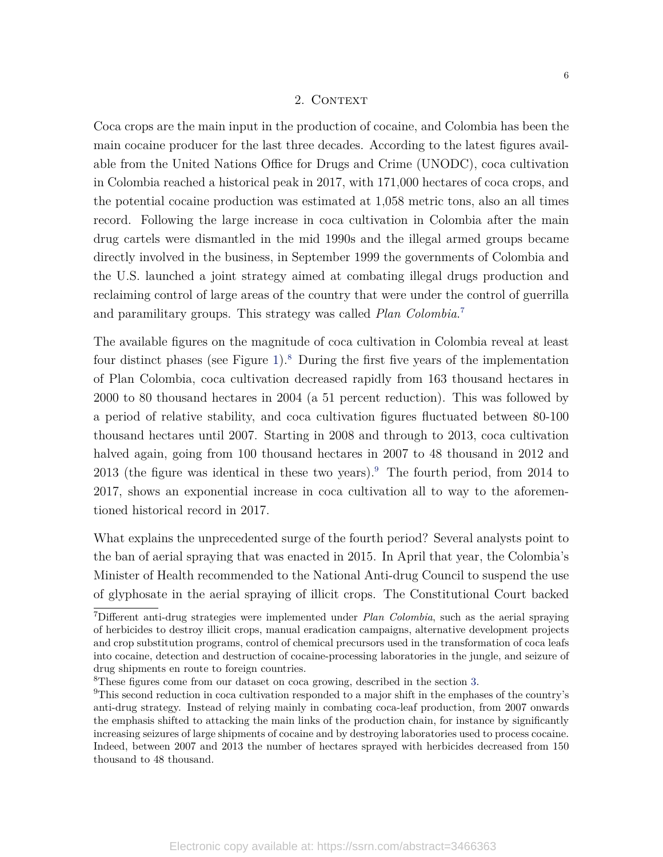#### 2. CONTEXT

<span id="page-6-0"></span>Coca crops are the main input in the production of cocaine, and Colombia has been the main cocaine producer for the last three decades. According to the latest figures available from the United Nations Office for Drugs and Crime (UNODC), coca cultivation in Colombia reached a historical peak in 2017, with 171,000 hectares of coca crops, and the potential cocaine production was estimated at 1,058 metric tons, also an all times record. Following the large increase in coca cultivation in Colombia after the main drug cartels were dismantled in the mid 1990s and the illegal armed groups became directly involved in the business, in September 1999 the governments of Colombia and the U.S. launched a joint strategy aimed at combating illegal drugs production and reclaiming control of large areas of the country that were under the control of guerrilla and paramilitary groups. This strategy was called *Plan Colombia*. [7](#page-6-1)

The available figures on the magnitude of coca cultivation in Colombia reveal at least four distinct phases (see Figure [1\)](#page-28-0).<sup>[8](#page-6-2)</sup> During the first five years of the implementation of Plan Colombia, coca cultivation decreased rapidly from 163 thousand hectares in 2000 to 80 thousand hectares in 2004 (a 51 percent reduction). This was followed by a period of relative stability, and coca cultivation figures fluctuated between 80-100 thousand hectares until 2007. Starting in 2008 and through to 2013, coca cultivation halved again, going from 100 thousand hectares in 2007 to 48 thousand in 2012 and 2013 (the figure was identical in these two years).[9](#page-6-3) The fourth period, from 2014 to 2017, shows an exponential increase in coca cultivation all to way to the aforementioned historical record in 2017.

What explains the unprecedented surge of the fourth period? Several analysts point to the ban of aerial spraying that was enacted in 2015. In April that year, the Colombia's Minister of Health recommended to the National Anti-drug Council to suspend the use of glyphosate in the aerial spraying of illicit crops. The Constitutional Court backed

<span id="page-6-1"></span><sup>7</sup>Different anti-drug strategies were implemented under *Plan Colombia*, such as the aerial spraying of herbicides to destroy illicit crops, manual eradication campaigns, alternative development projects and crop substitution programs, control of chemical precursors used in the transformation of coca leafs into cocaine, detection and destruction of cocaine-processing laboratories in the jungle, and seizure of drug shipments en route to foreign countries.

<span id="page-6-2"></span><sup>8</sup>These figures come from our dataset on coca growing, described in the section [3.](#page-8-0)

<span id="page-6-3"></span><sup>9</sup>This second reduction in coca cultivation responded to a major shift in the emphases of the country's anti-drug strategy. Instead of relying mainly in combating coca-leaf production, from 2007 onwards the emphasis shifted to attacking the main links of the production chain, for instance by significantly increasing seizures of large shipments of cocaine and by destroying laboratories used to process cocaine. Indeed, between 2007 and 2013 the number of hectares sprayed with herbicides decreased from 150 thousand to 48 thousand.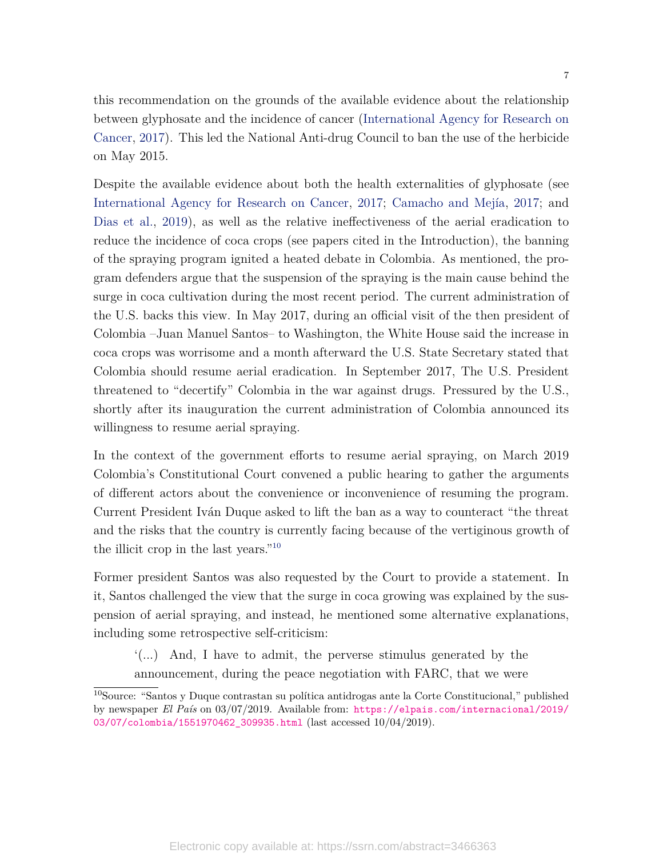this recommendation on the grounds of the available evidence about the relationship between glyphosate and the incidence of cancer [\(International Agency for Research on](#page-26-15) [Cancer,](#page-26-15) [2017\)](#page-26-15). This led the National Anti-drug Council to ban the use of the herbicide on May 2015.

Despite the available evidence about both the health externalities of glyphosate (see [International Agency for Research on Cancer,](#page-26-15) [2017;](#page-25-6) Camacho and Mejía, 2017; and [Dias et al.,](#page-26-16) [2019\)](#page-26-16), as well as the relative ineffectiveness of the aerial eradication to reduce the incidence of coca crops (see papers cited in the Introduction), the banning of the spraying program ignited a heated debate in Colombia. As mentioned, the program defenders argue that the suspension of the spraying is the main cause behind the surge in coca cultivation during the most recent period. The current administration of the U.S. backs this view. In May 2017, during an official visit of the then president of Colombia –Juan Manuel Santos– to Washington, the White House said the increase in coca crops was worrisome and a month afterward the U.S. State Secretary stated that Colombia should resume aerial eradication. In September 2017, The U.S. President threatened to "decertify" Colombia in the war against drugs. Pressured by the U.S., shortly after its inauguration the current administration of Colombia announced its willingness to resume aerial spraying.

In the context of the government efforts to resume aerial spraying, on March 2019 Colombia's Constitutional Court convened a public hearing to gather the arguments of different actors about the convenience or inconvenience of resuming the program. Current President Iván Duque asked to lift the ban as a way to counteract "the threat and the risks that the country is currently facing because of the vertiginous growth of the illicit crop in the last years."[10](#page-7-0)

Former president Santos was also requested by the Court to provide a statement. In it, Santos challenged the view that the surge in coca growing was explained by the suspension of aerial spraying, and instead, he mentioned some alternative explanations, including some retrospective self-criticism:

'(...) And, I have to admit, the perverse stimulus generated by the announcement, during the peace negotiation with FARC, that we were

<span id="page-7-0"></span> $10$ Source: "Santos y Duque contrastan su política antidrogas ante la Corte Constitucional," published by newspaper *El País* on 03/07/2019. Available from: [https://elpais.com/internacional/2019/](https://elpais.com/internacional/2019/03/07/colombia/1551970462_309935.html) 03/07/colombia/1551970462 309935.html (last accessed 10/04/2019).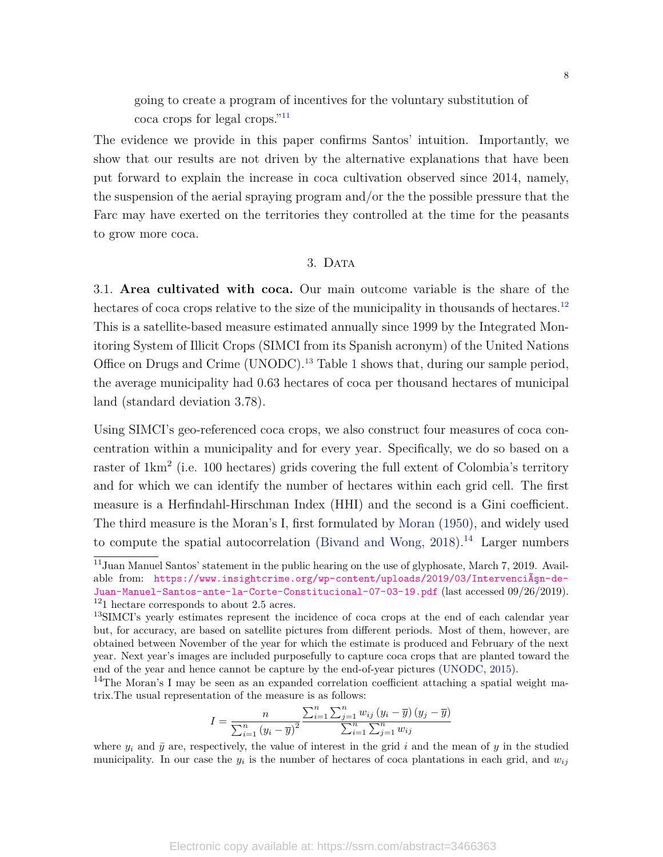going to create a program of incentives for the voluntary substitution of coca crops for legal crops."[11](#page-8-1)

The evidence we provide in this paper confirms Santos' intuition. Importantly, we show that our results are not driven by the alternative explanations that have been put forward to explain the increase in coca cultivation observed since 2014, namely, the suspension of the aerial spraying program and/or the the possible pressure that the Farc may have exerted on the territories they controlled at the time for the peasants to grow more coca.

# 3. DATA

<span id="page-8-0"></span>3.1. **Area cultivated with coca.** Our main outcome variable is the share of the hectares of coca crops relative to the size of the municipality in thousands of hectares.<sup>[12](#page-8-2)</sup> This is a satellite-based measure estimated annually since 1999 by the Integrated Monitoring System of Illicit Crops (SIMCI from its Spanish acronym) of the United Nations Office on Drugs and Crime (UNODC).<sup>[13](#page-8-3)</sup> Table [1](#page-33-0) shows that, during our sample period, the average municipality had 0.63 hectares of coca per thousand hectares of municipal land (standard deviation 3.78).

Using SIMCI's geo-referenced coca crops, we also construct four measures of coca concentration within a municipality and for every year. Specifically, we do so based on a raster of  $1 \text{km}^2$  (i.e. 100 hectares) grids covering the full extent of Colombia's territory and for which we can identify the number of hectares within each grid cell. The first measure is a Herfindahl-Hirschman Index (HHI) and the second is a Gini coefficient. The third measure is the Moran's I, first formulated by [Moran](#page-26-17) [\(1950\)](#page-26-17), and widely used to compute the spatial autocorrelation [\(Bivand and Wong,](#page-25-11)  $2018$ ).<sup>[14](#page-8-4)</sup> Larger numbers

<span id="page-8-4"></span><sup>14</sup>The Moran's I may be seen as an expanded correlation coefficient attaching a spatial weight matrix.The usual representation of the measure is as follows:

$$
I = \frac{n}{\sum_{i=1}^{n} (y_i - \overline{y})^2} \frac{\sum_{i=1}^{n} \sum_{j=1}^{n} w_{ij} (y_i - \overline{y}) (y_j - \overline{y})}{\sum_{i=1}^{n} \sum_{j=1}^{n} w_{ij}}
$$

where  $y_i$  and  $\bar{y}$  are, respectively, the value of interest in the grid *i* and the mean of *y* in the studied municipality. In our case the  $y_i$  is the number of hectares of coca plantations in each grid, and  $w_{ij}$ 

<span id="page-8-1"></span> $\frac{11}{11}$ Juan Manuel Santos' statement in the public hearing on the use of glyphosate, March 7, 2019. Available from: [https://www.insightcrime.org/wp-content/uploads/2019/03/IntervenciÃşn-de-](https://www.insightcrime.org/wp-content/uploads/2019/03/Intervención-de-Juan-Manuel-Santos-ante-la-Corte-Constitucional-07-03-19.pdf)[Juan-Manuel-Santos-ante-la-Corte-Constitucional-07-03-19.pdf](https://www.insightcrime.org/wp-content/uploads/2019/03/Intervención-de-Juan-Manuel-Santos-ante-la-Corte-Constitucional-07-03-19.pdf) (last accessed 09/26/2019).  $121$  hectare corresponds to about 2.5 acres.

<span id="page-8-3"></span><span id="page-8-2"></span><sup>&</sup>lt;sup>13</sup>SIMCI's yearly estimates represent the incidence of coca crops at the end of each calendar year but, for accuracy, are based on satellite pictures from different periods. Most of them, however, are obtained between November of the year for which the estimate is produced and February of the next year. Next year's images are included purposefully to capture coca crops that are planted toward the end of the year and hence cannot be capture by the end-of-year pictures [\(UNODC,](#page-27-8) [2015\)](#page-27-8).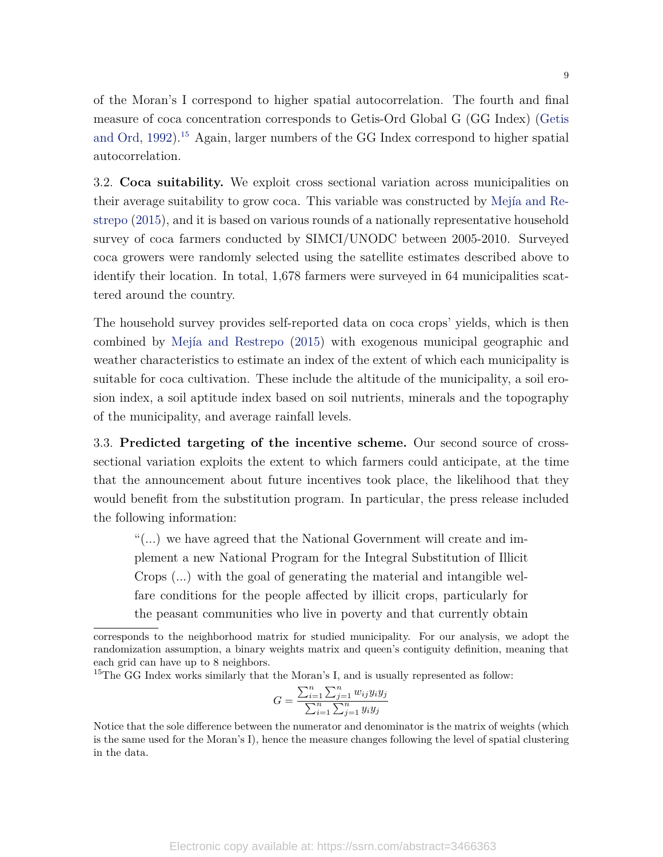of the Moran's I correspond to higher spatial autocorrelation. The fourth and final measure of coca concentration corresponds to Getis-Ord Global G (GG Index) [\(Getis](#page-26-18) [and Ord,](#page-26-18) [1992\)](#page-26-18).<sup>[15](#page-9-0)</sup> Again, larger numbers of the GG Index correspond to higher spatial autocorrelation.

3.2. **Coca suitability.** We exploit cross sectional variation across municipalities on their average suitability to grow coca. This variable was constructed by Mejía and Re[strepo](#page-26-5) [\(2015\)](#page-26-5), and it is based on various rounds of a nationally representative household survey of coca farmers conducted by SIMCI/UNODC between 2005-2010. Surveyed coca growers were randomly selected using the satellite estimates described above to identify their location. In total, 1,678 farmers were surveyed in 64 municipalities scattered around the country.

The household survey provides self-reported data on coca crops' yields, which is then combined by Mejía and Restrepo [\(2015\)](#page-26-5) with exogenous municipal geographic and weather characteristics to estimate an index of the extent of which each municipality is suitable for coca cultivation. These include the altitude of the municipality, a soil erosion index, a soil aptitude index based on soil nutrients, minerals and the topography of the municipality, and average rainfall levels.

3.3. **Predicted targeting of the incentive scheme.** Our second source of crosssectional variation exploits the extent to which farmers could anticipate, at the time that the announcement about future incentives took place, the likelihood that they would benefit from the substitution program. In particular, the press release included the following information:

"(...) we have agreed that the National Government will create and implement a new National Program for the Integral Substitution of Illicit Crops (...) with the goal of generating the material and intangible welfare conditions for the people affected by illicit crops, particularly for the peasant communities who live in poverty and that currently obtain

<span id="page-9-0"></span> $15$ The GG Index works similarly that the Moran's I, and is usually represented as follow:

$$
G = \frac{\sum_{i=1}^{n} \sum_{j=1}^{n} w_{ij} y_i y_j}{\sum_{i=1}^{n} \sum_{j=1}^{n} y_i y_j}
$$

Notice that the sole difference between the numerator and denominator is the matrix of weights (which is the same used for the Moran's I), hence the measure changes following the level of spatial clustering in the data.

corresponds to the neighborhood matrix for studied municipality. For our analysis, we adopt the randomization assumption, a binary weights matrix and queen's contiguity definition, meaning that each grid can have up to 8 neighbors.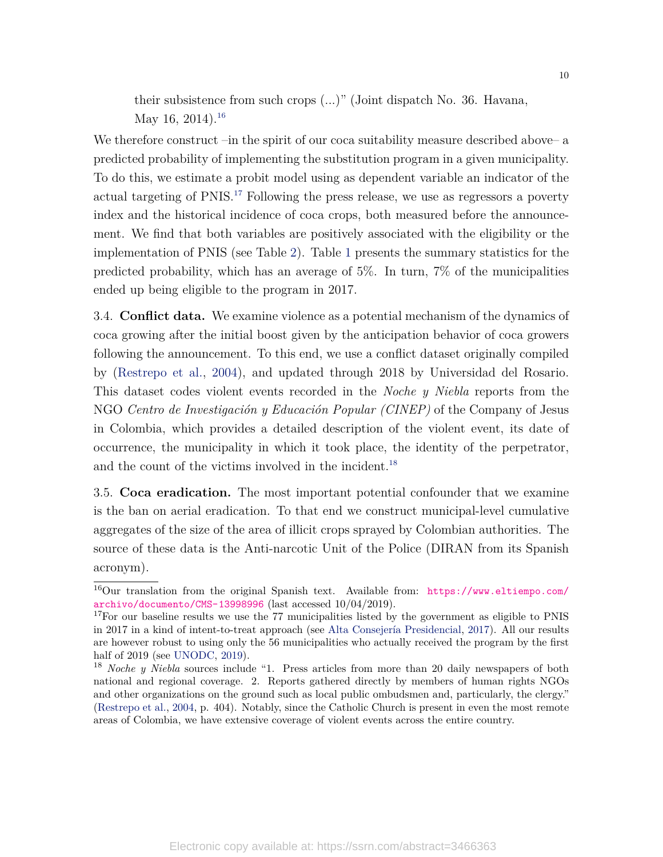their subsistence from such crops (...)" (Joint dispatch No. 36. Havana, May [16](#page-10-0), 2014).<sup>16</sup>

We therefore construct –in the spirit of our coca suitability measure described above– a predicted probability of implementing the substitution program in a given municipality. To do this, we estimate a probit model using as dependent variable an indicator of the actual targeting of PNIS.[17](#page-10-1) Following the press release, we use as regressors a poverty index and the historical incidence of coca crops, both measured before the announcement. We find that both variables are positively associated with the eligibility or the implementation of PNIS (see Table [2\)](#page-34-0). Table [1](#page-33-0) presents the summary statistics for the predicted probability, which has an average of 5%. In turn, 7% of the municipalities ended up being eligible to the program in 2017.

3.4. **Conflict data.** We examine violence as a potential mechanism of the dynamics of coca growing after the initial boost given by the anticipation behavior of coca growers following the announcement. To this end, we use a conflict dataset originally compiled by [\(Restrepo et al.,](#page-27-9) [2004\)](#page-27-9), and updated through 2018 by Universidad del Rosario. This dataset codes violent events recorded in the *Noche y Niebla* reports from the NGO *Centro de Investigación y Educación Popular (CINEP)* of the Company of Jesus in Colombia, which provides a detailed description of the violent event, its date of occurrence, the municipality in which it took place, the identity of the perpetrator, and the count of the victims involved in the incident.<sup>[18](#page-10-2)</sup>

3.5. **Coca eradication.** The most important potential confounder that we examine is the ban on aerial eradication. To that end we construct municipal-level cumulative aggregates of the size of the area of illicit crops sprayed by Colombian authorities. The source of these data is the Anti-narcotic Unit of the Police (DIRAN from its Spanish acronym).

<span id="page-10-0"></span> $16$ Our translation from the original Spanish text. Available from: [https://www.eltiempo.com/](https://www.eltiempo.com/archivo/documento/CMS-13998996) [archivo/documento/CMS-13998996](https://www.eltiempo.com/archivo/documento/CMS-13998996) (last accessed 10/04/2019).

<span id="page-10-1"></span><sup>&</sup>lt;sup>17</sup>For our baseline results we use the 77 municipalities listed by the government as eligible to PNIS in 2017 in a kind of intent-to-treat approach (see Alta Consejería Presidencial, [2017\)](#page-25-12). All our results are however robust to using only the 56 municipalities who actually received the program by the first half of 2019 (see [UNODC,](#page-27-10) [2019\)](#page-27-10).

<span id="page-10-2"></span><sup>18</sup> *Noche y Niebla* sources include "1. Press articles from more than 20 daily newspapers of both national and regional coverage. 2. Reports gathered directly by members of human rights NGOs and other organizations on the ground such as local public ombudsmen and, particularly, the clergy." [\(Restrepo et al.,](#page-27-9) [2004,](#page-27-9) p. 404). Notably, since the Catholic Church is present in even the most remote areas of Colombia, we have extensive coverage of violent events across the entire country.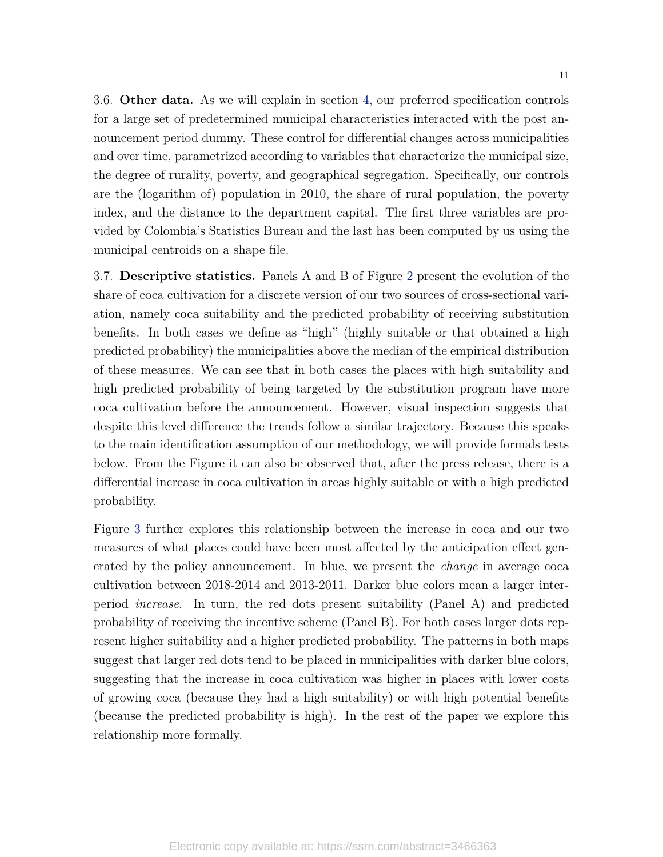3.6. **Other data.** As we will explain in section [4,](#page-12-0) our preferred specification controls for a large set of predetermined municipal characteristics interacted with the post announcement period dummy. These control for differential changes across municipalities and over time, parametrized according to variables that characterize the municipal size, the degree of rurality, poverty, and geographical segregation. Specifically, our controls are the (logarithm of) population in 2010, the share of rural population, the poverty index, and the distance to the department capital. The first three variables are provided by Colombia's Statistics Bureau and the last has been computed by us using the municipal centroids on a shape file.

3.7. **Descriptive statistics.** Panels A and B of Figure [2](#page-29-0) present the evolution of the share of coca cultivation for a discrete version of our two sources of cross-sectional variation, namely coca suitability and the predicted probability of receiving substitution benefits. In both cases we define as "high" (highly suitable or that obtained a high predicted probability) the municipalities above the median of the empirical distribution of these measures. We can see that in both cases the places with high suitability and high predicted probability of being targeted by the substitution program have more coca cultivation before the announcement. However, visual inspection suggests that despite this level difference the trends follow a similar trajectory. Because this speaks to the main identification assumption of our methodology, we will provide formals tests below. From the Figure it can also be observed that, after the press release, there is a differential increase in coca cultivation in areas highly suitable or with a high predicted probability.

Figure [3](#page-30-0) further explores this relationship between the increase in coca and our two measures of what places could have been most affected by the anticipation effect generated by the policy announcement. In blue, we present the *change* in average coca cultivation between 2018-2014 and 2013-2011. Darker blue colors mean a larger interperiod *increase*. In turn, the red dots present suitability (Panel A) and predicted probability of receiving the incentive scheme (Panel B). For both cases larger dots represent higher suitability and a higher predicted probability. The patterns in both maps suggest that larger red dots tend to be placed in municipalities with darker blue colors, suggesting that the increase in coca cultivation was higher in places with lower costs of growing coca (because they had a high suitability) or with high potential benefits (because the predicted probability is high). In the rest of the paper we explore this relationship more formally.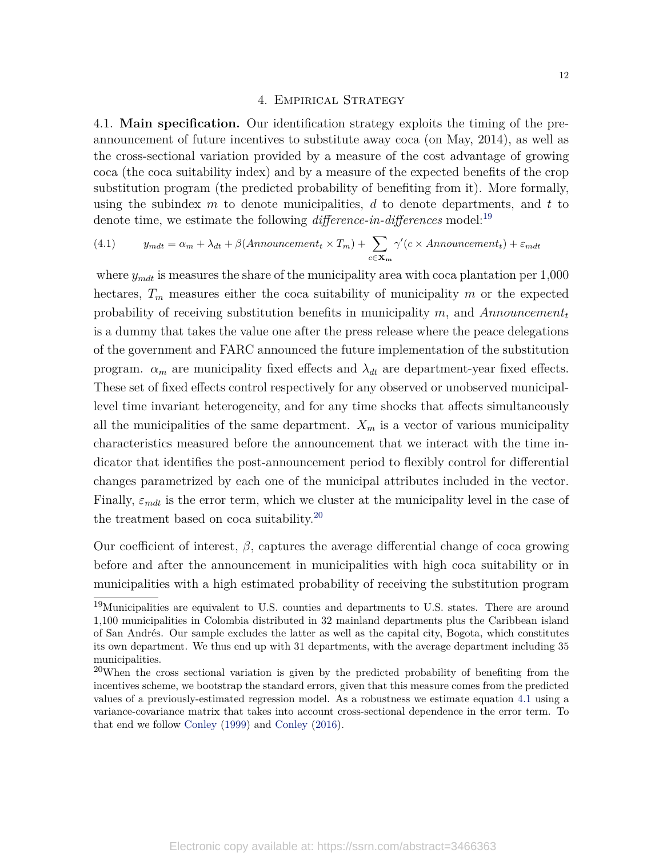#### 4. Empirical Strategy

<span id="page-12-0"></span>4.1. **Main specification.** Our identification strategy exploits the timing of the preannouncement of future incentives to substitute away coca (on May, 2014), as well as the cross-sectional variation provided by a measure of the cost advantage of growing coca (the coca suitability index) and by a measure of the expected benefits of the crop substitution program (the predicted probability of benefiting from it). More formally, using the subindex *m* to denote municipalities, *d* to denote departments, and *t* to denote time, we estimate the following *difference-in-differences* model:<sup>[19](#page-12-1)</sup>

<span id="page-12-3"></span>(4.1) 
$$
y_{mdt} = \alpha_m + \lambda_{dt} + \beta (Announcement_t \times T_m) + \sum_{c \in \mathbf{X}_m} \gamma'(c \times Announcement_t) + \varepsilon_{mdt}
$$

where  $y_{mdt}$  is measures the share of the municipality area with coca plantation per 1,000 hectares, *T<sup>m</sup>* measures either the coca suitability of municipality *m* or the expected probability of receiving substitution benefits in municipality *m*, and *Announcement<sup>t</sup>* is a dummy that takes the value one after the press release where the peace delegations of the government and FARC announced the future implementation of the substitution program.  $\alpha_m$  are municipality fixed effects and  $\lambda_{dt}$  are department-year fixed effects. These set of fixed effects control respectively for any observed or unobserved municipallevel time invariant heterogeneity, and for any time shocks that affects simultaneously all the municipalities of the same department.  $X_m$  is a vector of various municipality characteristics measured before the announcement that we interact with the time indicator that identifies the post-announcement period to flexibly control for differential changes parametrized by each one of the municipal attributes included in the vector. Finally,  $\varepsilon_{mdt}$  is the error term, which we cluster at the municipality level in the case of the treatment based on coca suitability.[20](#page-12-2)

Our coefficient of interest,  $\beta$ , captures the average differential change of coca growing before and after the announcement in municipalities with high coca suitability or in municipalities with a high estimated probability of receiving the substitution program

<span id="page-12-1"></span><sup>&</sup>lt;sup>19</sup>Municipalities are equivalent to U.S. counties and departments to U.S. states. There are around 1,100 municipalities in Colombia distributed in 32 mainland departments plus the Caribbean island of San Andr´es. Our sample excludes the latter as well as the capital city, Bogota, which constitutes its own department. We thus end up with 31 departments, with the average department including 35 municipalities.

<span id="page-12-2"></span><sup>&</sup>lt;sup>20</sup>When the cross sectional variation is given by the predicted probability of benefiting from the incentives scheme, we bootstrap the standard errors, given that this measure comes from the predicted values of a previously-estimated regression model. As a robustness we estimate equation [4.1](#page-12-3) using a variance-covariance matrix that takes into account cross-sectional dependence in the error term. To that end we follow [Conley](#page-25-13) [\(1999\)](#page-25-13) and [Conley](#page-25-14) [\(2016\)](#page-25-14).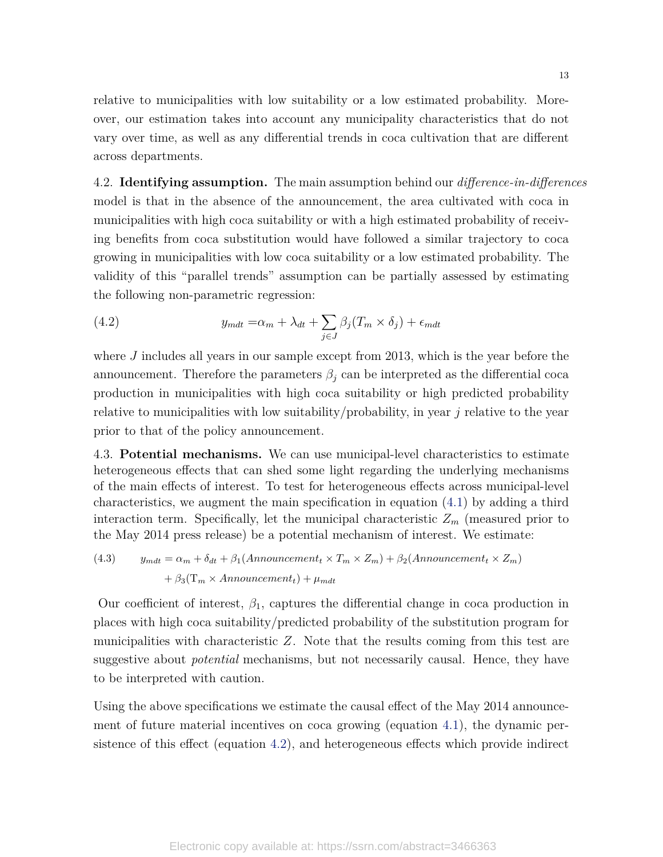relative to municipalities with low suitability or a low estimated probability. Moreover, our estimation takes into account any municipality characteristics that do not vary over time, as well as any differential trends in coca cultivation that are different across departments.

4.2. **Identifying assumption.** The main assumption behind our *difference-in-differences* model is that in the absence of the announcement, the area cultivated with coca in municipalities with high coca suitability or with a high estimated probability of receiving benefits from coca substitution would have followed a similar trajectory to coca growing in municipalities with low coca suitability or a low estimated probability. The validity of this "parallel trends" assumption can be partially assessed by estimating the following non-parametric regression:

<span id="page-13-0"></span>(4.2) 
$$
y_{mdt} = \alpha_m + \lambda_{dt} + \sum_{j \in J} \beta_j (T_m \times \delta_j) + \epsilon_{mdt}
$$

where *J* includes all years in our sample except from 2013, which is the year before the announcement. Therefore the parameters  $\beta_j$  can be interpreted as the differential coca production in municipalities with high coca suitability or high predicted probability relative to municipalities with low suitability/probability, in year *j* relative to the year prior to that of the policy announcement.

4.3. **Potential mechanisms.** We can use municipal-level characteristics to estimate heterogeneous effects that can shed some light regarding the underlying mechanisms of the main effects of interest. To test for heterogeneous effects across municipal-level characteristics, we augment the main specification in equation [\(4.1\)](#page-12-3) by adding a third interaction term. Specifically, let the municipal characteristic  $Z_m$  (measured prior to the May 2014 press release) be a potential mechanism of interest. We estimate:

<span id="page-13-1"></span>(4.3) 
$$
y_{mdt} = \alpha_m + \delta_{dt} + \beta_1 (Announcement_t \times T_m \times Z_m) + \beta_2 (Announcement_t \times Z_m)
$$

$$
+ \beta_3 (T_m \times Announcement_t) + \mu_{mdt}
$$

Our coefficient of interest,  $\beta_1$ , captures the differential change in coca production in places with high coca suitability/predicted probability of the substitution program for municipalities with characteristic *Z*. Note that the results coming from this test are suggestive about *potential* mechanisms, but not necessarily causal. Hence, they have to be interpreted with caution.

Using the above specifications we estimate the causal effect of the May 2014 announcement of future material incentives on coca growing (equation [4.1\)](#page-12-3), the dynamic persistence of this effect (equation [4.2\)](#page-13-0), and heterogeneous effects which provide indirect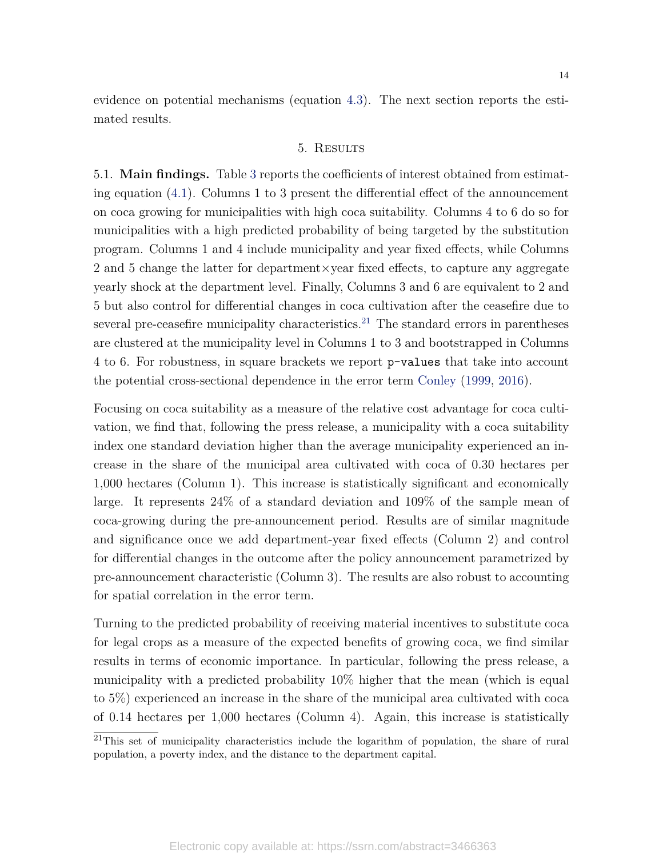evidence on potential mechanisms (equation [4.3\)](#page-13-1). The next section reports the estimated results.

### 5. Results

<span id="page-14-0"></span>5.1. **Main findings.** Table [3](#page-35-0) reports the coefficients of interest obtained from estimating equation [\(4.1\)](#page-12-3). Columns 1 to 3 present the differential effect of the announcement on coca growing for municipalities with high coca suitability. Columns 4 to 6 do so for municipalities with a high predicted probability of being targeted by the substitution program. Columns 1 and 4 include municipality and year fixed effects, while Columns 2 and 5 change the latter for department  $\times$  year fixed effects, to capture any aggregate yearly shock at the department level. Finally, Columns 3 and 6 are equivalent to 2 and 5 but also control for differential changes in coca cultivation after the ceasefire due to several pre-ceasefire municipality characteristics.<sup>[21](#page-14-1)</sup> The standard errors in parentheses are clustered at the municipality level in Columns 1 to 3 and bootstrapped in Columns 4 to 6. For robustness, in square brackets we report p-values that take into account the potential cross-sectional dependence in the error term [Conley](#page-25-13) [\(1999,](#page-25-13) [2016\)](#page-25-14).

Focusing on coca suitability as a measure of the relative cost advantage for coca cultivation, we find that, following the press release, a municipality with a coca suitability index one standard deviation higher than the average municipality experienced an increase in the share of the municipal area cultivated with coca of 0.30 hectares per 1,000 hectares (Column 1). This increase is statistically significant and economically large. It represents 24% of a standard deviation and 109% of the sample mean of coca-growing during the pre-announcement period. Results are of similar magnitude and significance once we add department-year fixed effects (Column 2) and control for differential changes in the outcome after the policy announcement parametrized by pre-announcement characteristic (Column 3). The results are also robust to accounting for spatial correlation in the error term.

Turning to the predicted probability of receiving material incentives to substitute coca for legal crops as a measure of the expected benefits of growing coca, we find similar results in terms of economic importance. In particular, following the press release, a municipality with a predicted probability 10% higher that the mean (which is equal to 5%) experienced an increase in the share of the municipal area cultivated with coca of 0.14 hectares per 1,000 hectares (Column 4). Again, this increase is statistically

<span id="page-14-1"></span> $^{21}$ This set of municipality characteristics include the logarithm of population, the share of rural population, a poverty index, and the distance to the department capital.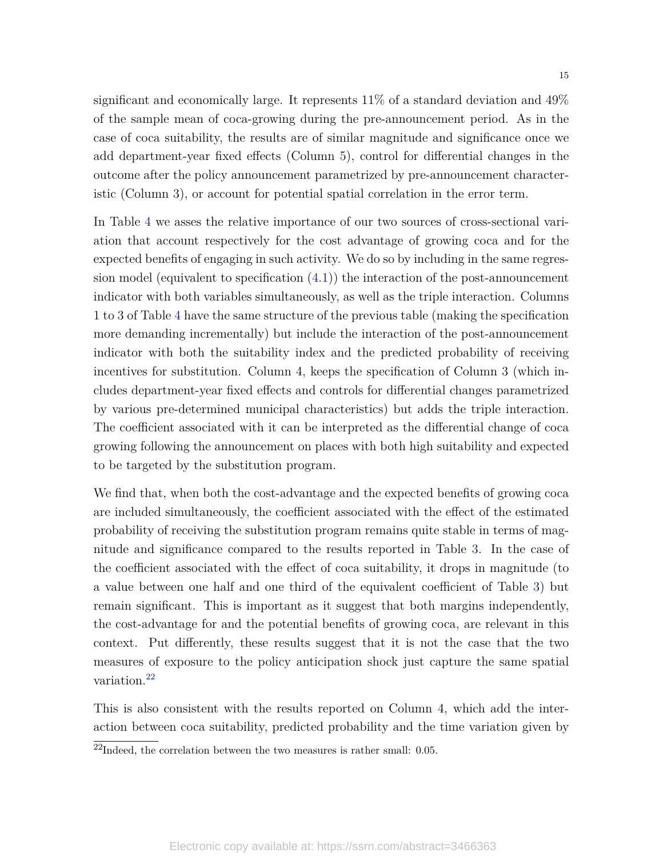significant and economically large. It represents 11% of a standard deviation and 49% of the sample mean of coca-growing during the pre-announcement period. As in the case of coca suitability, the results are of similar magnitude and significance once we add department-year fixed effects (Column 5), control for differential changes in the outcome after the policy announcement parametrized by pre-announcement characteristic (Column 3), or account for potential spatial correlation in the error term.

In Table [4](#page-36-0) we asses the relative importance of our two sources of cross-sectional variation that account respectively for the cost advantage of growing coca and for the expected benefits of engaging in such activity. We do so by including in the same regression model (equivalent to specification [\(4.1\)](#page-12-3)) the interaction of the post-announcement indicator with both variables simultaneously, as well as the triple interaction. Columns 1 to 3 of Table [4](#page-36-0) have the same structure of the previous table (making the specification more demanding incrementally) but include the interaction of the post-announcement indicator with both the suitability index and the predicted probability of receiving incentives for substitution. Column 4, keeps the specification of Column 3 (which includes department-year fixed effects and controls for differential changes parametrized by various pre-determined municipal characteristics) but adds the triple interaction. The coefficient associated with it can be interpreted as the differential change of coca growing following the announcement on places with both high suitability and expected to be targeted by the substitution program.

We find that, when both the cost-advantage and the expected benefits of growing coca are included simultaneously, the coefficient associated with the effect of the estimated probability of receiving the substitution program remains quite stable in terms of magnitude and significance compared to the results reported in Table [3.](#page-35-0) In the case of the coefficient associated with the effect of coca suitability, it drops in magnitude (to a value between one half and one third of the equivalent coefficient of Table [3\)](#page-35-0) but remain significant. This is important as it suggest that both margins independently, the cost-advantage for and the potential benefits of growing coca, are relevant in this context. Put differently, these results suggest that it is not the case that the two measures of exposure to the policy anticipation shock just capture the same spatial variation.[22](#page-15-0)

This is also consistent with the results reported on Column 4, which add the interaction between coca suitability, predicted probability and the time variation given by

<span id="page-15-0"></span> $^{22}$ Indeed, the correlation between the two measures is rather small: 0.05.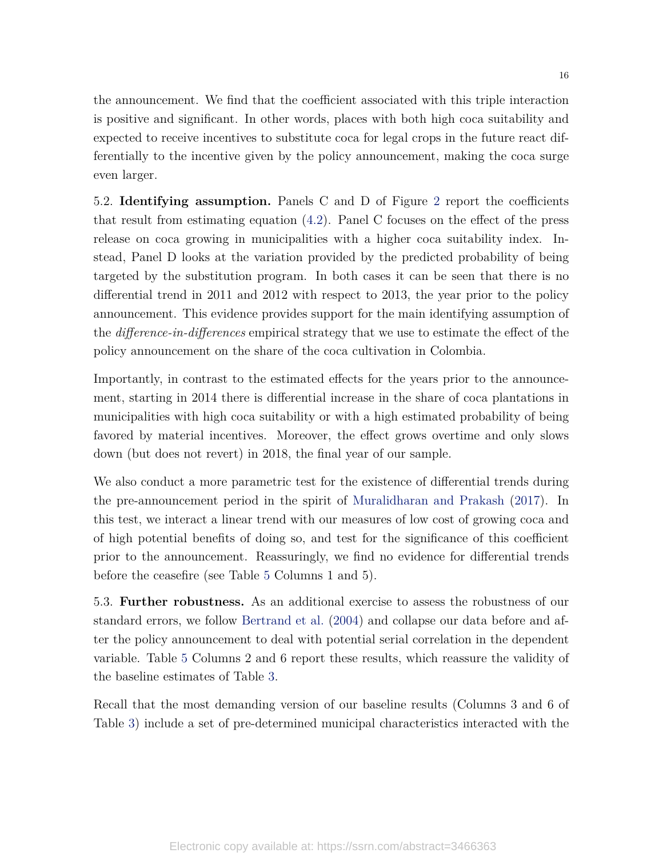the announcement. We find that the coefficient associated with this triple interaction is positive and significant. In other words, places with both high coca suitability and expected to receive incentives to substitute coca for legal crops in the future react differentially to the incentive given by the policy announcement, making the coca surge even larger.

5.2. **Identifying assumption.** Panels C and D of Figure [2](#page-29-0) report the coefficients that result from estimating equation [\(4.2\)](#page-13-0). Panel C focuses on the effect of the press release on coca growing in municipalities with a higher coca suitability index. Instead, Panel D looks at the variation provided by the predicted probability of being targeted by the substitution program. In both cases it can be seen that there is no differential trend in 2011 and 2012 with respect to 2013, the year prior to the policy announcement. This evidence provides support for the main identifying assumption of the *difference-in-differences* empirical strategy that we use to estimate the effect of the policy announcement on the share of the coca cultivation in Colombia.

Importantly, in contrast to the estimated effects for the years prior to the announcement, starting in 2014 there is differential increase in the share of coca plantations in municipalities with high coca suitability or with a high estimated probability of being favored by material incentives. Moreover, the effect grows overtime and only slows down (but does not revert) in 2018, the final year of our sample.

We also conduct a more parametric test for the existence of differential trends during the pre-announcement period in the spirit of [Muralidharan and Prakash](#page-26-19) [\(2017\)](#page-26-19). In this test, we interact a linear trend with our measures of low cost of growing coca and of high potential benefits of doing so, and test for the significance of this coefficient prior to the announcement. Reassuringly, we find no evidence for differential trends before the ceasefire (see Table [5](#page-37-0) Columns 1 and 5).

5.3. **Further robustness.** As an additional exercise to assess the robustness of our standard errors, we follow [Bertrand et al.](#page-25-15) [\(2004\)](#page-25-15) and collapse our data before and after the policy announcement to deal with potential serial correlation in the dependent variable. Table [5](#page-37-0) Columns 2 and 6 report these results, which reassure the validity of the baseline estimates of Table [3.](#page-35-0)

Recall that the most demanding version of our baseline results (Columns 3 and 6 of Table [3\)](#page-35-0) include a set of pre-determined municipal characteristics interacted with the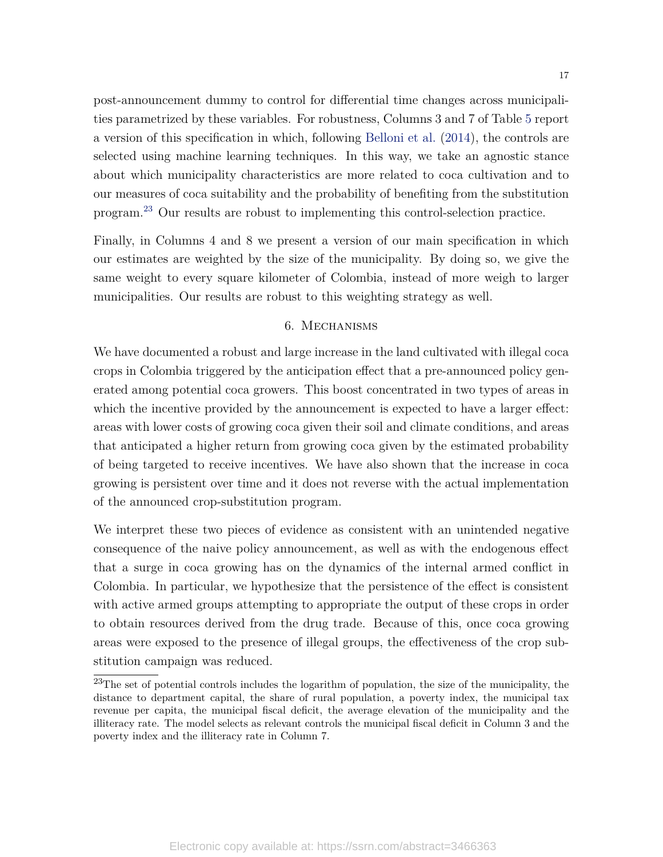post-announcement dummy to control for differential time changes across municipalities parametrized by these variables. For robustness, Columns 3 and 7 of Table [5](#page-37-0) report a version of this specification in which, following [Belloni et al.](#page-25-16) [\(2014\)](#page-25-16), the controls are selected using machine learning techniques. In this way, we take an agnostic stance about which municipality characteristics are more related to coca cultivation and to our measures of coca suitability and the probability of benefiting from the substitution program.[23](#page-17-1) Our results are robust to implementing this control-selection practice.

Finally, in Columns 4 and 8 we present a version of our main specification in which our estimates are weighted by the size of the municipality. By doing so, we give the same weight to every square kilometer of Colombia, instead of more weigh to larger municipalities. Our results are robust to this weighting strategy as well.

### 6. Mechanisms

<span id="page-17-0"></span>We have documented a robust and large increase in the land cultivated with illegal coca crops in Colombia triggered by the anticipation effect that a pre-announced policy generated among potential coca growers. This boost concentrated in two types of areas in which the incentive provided by the announcement is expected to have a larger effect: areas with lower costs of growing coca given their soil and climate conditions, and areas that anticipated a higher return from growing coca given by the estimated probability of being targeted to receive incentives. We have also shown that the increase in coca growing is persistent over time and it does not reverse with the actual implementation of the announced crop-substitution program.

We interpret these two pieces of evidence as consistent with an unintended negative consequence of the naive policy announcement, as well as with the endogenous effect that a surge in coca growing has on the dynamics of the internal armed conflict in Colombia. In particular, we hypothesize that the persistence of the effect is consistent with active armed groups attempting to appropriate the output of these crops in order to obtain resources derived from the drug trade. Because of this, once coca growing areas were exposed to the presence of illegal groups, the effectiveness of the crop substitution campaign was reduced.

<span id="page-17-1"></span><sup>&</sup>lt;sup>23</sup>The set of potential controls includes the logarithm of population, the size of the municipality, the distance to department capital, the share of rural population, a poverty index, the municipal tax revenue per capita, the municipal fiscal deficit, the average elevation of the municipality and the illiteracy rate. The model selects as relevant controls the municipal fiscal deficit in Column 3 and the poverty index and the illiteracy rate in Column 7.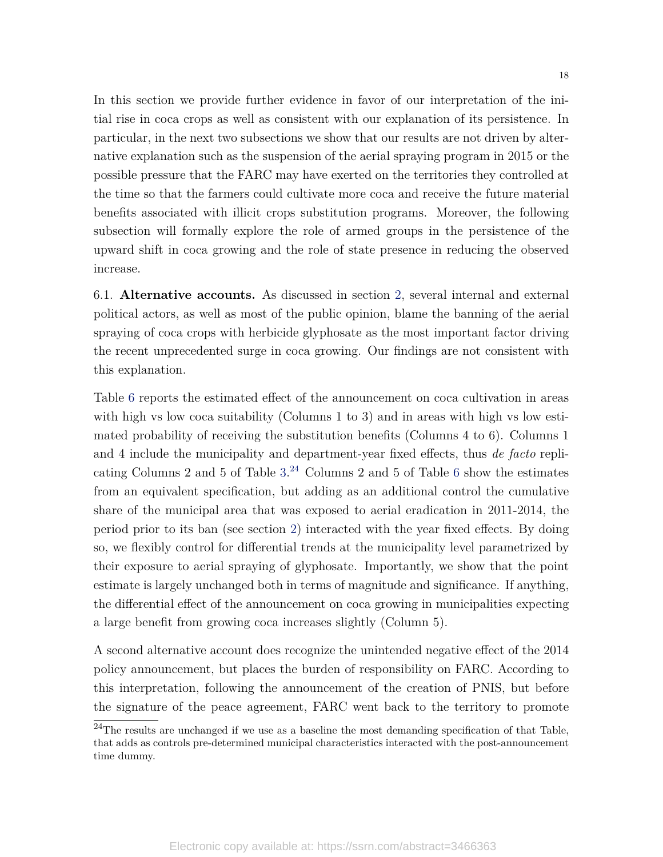In this section we provide further evidence in favor of our interpretation of the initial rise in coca crops as well as consistent with our explanation of its persistence. In particular, in the next two subsections we show that our results are not driven by alternative explanation such as the suspension of the aerial spraying program in 2015 or the possible pressure that the FARC may have exerted on the territories they controlled at the time so that the farmers could cultivate more coca and receive the future material benefits associated with illicit crops substitution programs. Moreover, the following subsection will formally explore the role of armed groups in the persistence of the upward shift in coca growing and the role of state presence in reducing the observed increase.

6.1. **Alternative accounts.** As discussed in section [2,](#page-6-0) several internal and external political actors, as well as most of the public opinion, blame the banning of the aerial spraying of coca crops with herbicide glyphosate as the most important factor driving the recent unprecedented surge in coca growing. Our findings are not consistent with this explanation.

Table [6](#page-38-0) reports the estimated effect of the announcement on coca cultivation in areas with high vs low coca suitability (Columns 1 to 3) and in areas with high vs low estimated probability of receiving the substitution benefits (Columns 4 to 6). Columns 1 and 4 include the municipality and department-year fixed effects, thus *de facto* replicating Columns 2 and 5 of Table [3.](#page-35-0) [24](#page-18-0) Columns 2 and 5 of Table [6](#page-38-0) show the estimates from an equivalent specification, but adding as an additional control the cumulative share of the municipal area that was exposed to aerial eradication in 2011-2014, the period prior to its ban (see section [2\)](#page-6-0) interacted with the year fixed effects. By doing so, we flexibly control for differential trends at the municipality level parametrized by their exposure to aerial spraying of glyphosate. Importantly, we show that the point estimate is largely unchanged both in terms of magnitude and significance. If anything, the differential effect of the announcement on coca growing in municipalities expecting a large benefit from growing coca increases slightly (Column 5).

A second alternative account does recognize the unintended negative effect of the 2014 policy announcement, but places the burden of responsibility on FARC. According to this interpretation, following the announcement of the creation of PNIS, but before the signature of the peace agreement, FARC went back to the territory to promote

<span id="page-18-0"></span> $^{24}$ The results are unchanged if we use as a baseline the most demanding specification of that Table, that adds as controls pre-determined municipal characteristics interacted with the post-announcement time dummy.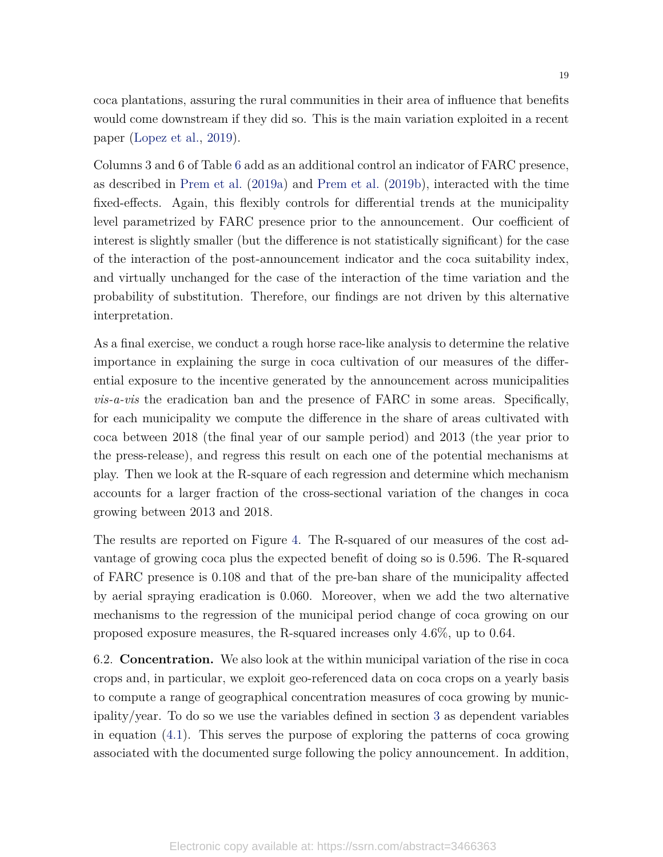coca plantations, assuring the rural communities in their area of influence that benefits would come downstream if they did so. This is the main variation exploited in a recent paper [\(Lopez et al.,](#page-26-6) [2019\)](#page-26-6).

Columns 3 and 6 of Table [6](#page-38-0) add as an additional control an indicator of FARC presence, as described in [Prem et al.](#page-26-20) [\(2019a\)](#page-26-20) and [Prem et al.](#page-27-11) [\(2019b\)](#page-27-11), interacted with the time fixed-effects. Again, this flexibly controls for differential trends at the municipality level parametrized by FARC presence prior to the announcement. Our coefficient of interest is slightly smaller (but the difference is not statistically significant) for the case of the interaction of the post-announcement indicator and the coca suitability index, and virtually unchanged for the case of the interaction of the time variation and the probability of substitution. Therefore, our findings are not driven by this alternative interpretation.

As a final exercise, we conduct a rough horse race-like analysis to determine the relative importance in explaining the surge in coca cultivation of our measures of the differential exposure to the incentive generated by the announcement across municipalities *vis-a-vis* the eradication ban and the presence of FARC in some areas. Specifically, for each municipality we compute the difference in the share of areas cultivated with coca between 2018 (the final year of our sample period) and 2013 (the year prior to the press-release), and regress this result on each one of the potential mechanisms at play. Then we look at the R-square of each regression and determine which mechanism accounts for a larger fraction of the cross-sectional variation of the changes in coca growing between 2013 and 2018.

The results are reported on Figure [4.](#page-31-0) The R-squared of our measures of the cost advantage of growing coca plus the expected benefit of doing so is 0.596. The R-squared of FARC presence is 0.108 and that of the pre-ban share of the municipality affected by aerial spraying eradication is 0.060. Moreover, when we add the two alternative mechanisms to the regression of the municipal period change of coca growing on our proposed exposure measures, the R-squared increases only 4.6%, up to 0.64.

6.2. **Concentration.** We also look at the within municipal variation of the rise in coca crops and, in particular, we exploit geo-referenced data on coca crops on a yearly basis to compute a range of geographical concentration measures of coca growing by municipality/year. To do so we use the variables defined in section [3](#page-8-0) as dependent variables in equation [\(4.1\)](#page-12-3). This serves the purpose of exploring the patterns of coca growing associated with the documented surge following the policy announcement. In addition,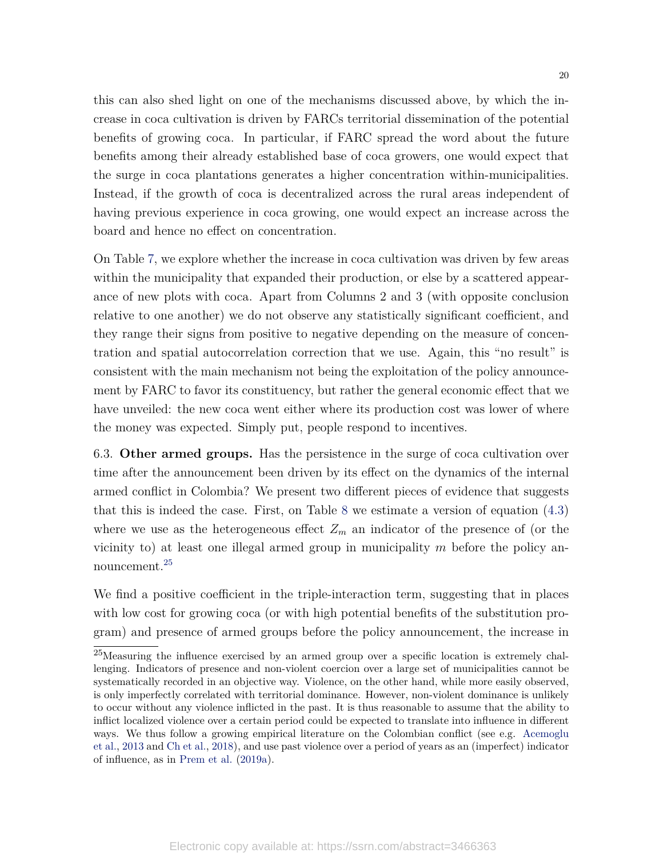this can also shed light on one of the mechanisms discussed above, by which the increase in coca cultivation is driven by FARCs territorial dissemination of the potential benefits of growing coca. In particular, if FARC spread the word about the future benefits among their already established base of coca growers, one would expect that the surge in coca plantations generates a higher concentration within-municipalities. Instead, if the growth of coca is decentralized across the rural areas independent of having previous experience in coca growing, one would expect an increase across the board and hence no effect on concentration.

On Table [7,](#page-39-0) we explore whether the increase in coca cultivation was driven by few areas within the municipality that expanded their production, or else by a scattered appearance of new plots with coca. Apart from Columns 2 and 3 (with opposite conclusion relative to one another) we do not observe any statistically significant coefficient, and they range their signs from positive to negative depending on the measure of concentration and spatial autocorrelation correction that we use. Again, this "no result" is consistent with the main mechanism not being the exploitation of the policy announcement by FARC to favor its constituency, but rather the general economic effect that we have unveiled: the new coca went either where its production cost was lower of where the money was expected. Simply put, people respond to incentives.

6.3. **Other armed groups.** Has the persistence in the surge of coca cultivation over time after the announcement been driven by its effect on the dynamics of the internal armed conflict in Colombia? We present two different pieces of evidence that suggests that this is indeed the case. First, on Table [8](#page-40-0) we estimate a version of equation [\(4.3\)](#page-13-1) where we use as the heterogeneous effect  $Z_m$  an indicator of the presence of (or the vicinity to) at least one illegal armed group in municipality *m* before the policy announcement.[25](#page-20-0)

We find a positive coefficient in the triple-interaction term, suggesting that in places with low cost for growing coca (or with high potential benefits of the substitution program) and presence of armed groups before the policy announcement, the increase in

<span id="page-20-0"></span><sup>25</sup>Measuring the influence exercised by an armed group over a specific location is extremely challenging. Indicators of presence and non-violent coercion over a large set of municipalities cannot be systematically recorded in an objective way. Violence, on the other hand, while more easily observed, is only imperfectly correlated with territorial dominance. However, non-violent dominance is unlikely to occur without any violence inflicted in the past. It is thus reasonable to assume that the ability to inflict localized violence over a certain period could be expected to translate into influence in different ways. We thus follow a growing empirical literature on the Colombian conflict (see e.g. [Acemoglu](#page-25-17) [et al.,](#page-25-17) [2013](#page-25-17) and [Ch et al.,](#page-25-18) [2018\)](#page-25-18), and use past violence over a period of years as an (imperfect) indicator of influence, as in [Prem et al.](#page-26-20) [\(2019a\)](#page-26-20).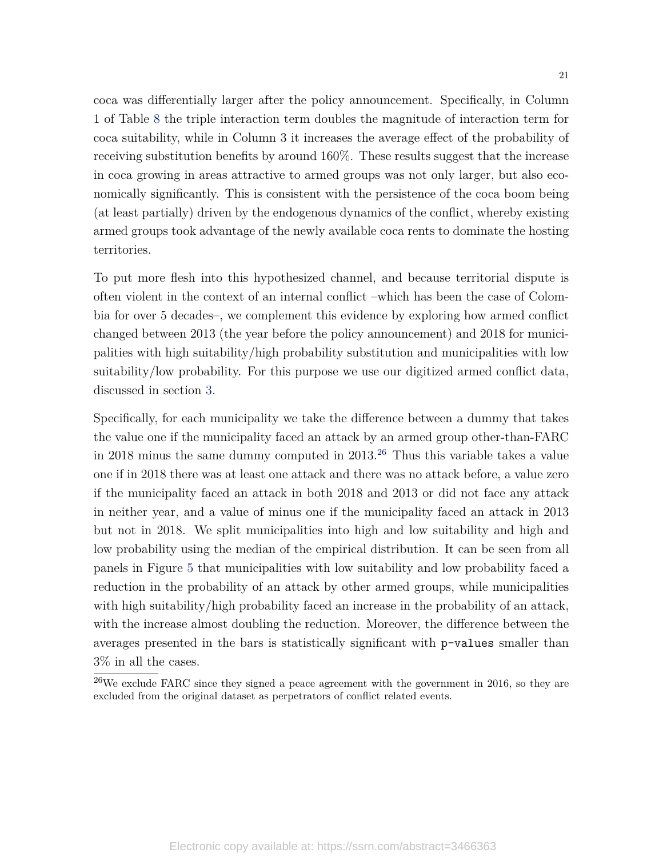coca was differentially larger after the policy announcement. Specifically, in Column 1 of Table [8](#page-40-0) the triple interaction term doubles the magnitude of interaction term for coca suitability, while in Column 3 it increases the average effect of the probability of receiving substitution benefits by around 160%. These results suggest that the increase in coca growing in areas attractive to armed groups was not only larger, but also economically significantly. This is consistent with the persistence of the coca boom being (at least partially) driven by the endogenous dynamics of the conflict, whereby existing armed groups took advantage of the newly available coca rents to dominate the hosting territories.

To put more flesh into this hypothesized channel, and because territorial dispute is often violent in the context of an internal conflict –which has been the case of Colombia for over 5 decades–, we complement this evidence by exploring how armed conflict changed between 2013 (the year before the policy announcement) and 2018 for municipalities with high suitability/high probability substitution and municipalities with low suitability/low probability. For this purpose we use our digitized armed conflict data, discussed in section [3.](#page-8-0)

Specifically, for each municipality we take the difference between a dummy that takes the value one if the municipality faced an attack by an armed group other-than-FARC in 2018 minus the same dummy computed in  $2013.<sup>26</sup>$  $2013.<sup>26</sup>$  $2013.<sup>26</sup>$  Thus this variable takes a value one if in 2018 there was at least one attack and there was no attack before, a value zero if the municipality faced an attack in both 2018 and 2013 or did not face any attack in neither year, and a value of minus one if the municipality faced an attack in 2013 but not in 2018. We split municipalities into high and low suitability and high and low probability using the median of the empirical distribution. It can be seen from all panels in Figure [5](#page-32-0) that municipalities with low suitability and low probability faced a reduction in the probability of an attack by other armed groups, while municipalities with high suitability/high probability faced an increase in the probability of an attack, with the increase almost doubling the reduction. Moreover, the difference between the averages presented in the bars is statistically significant with p-values smaller than 3% in all the cases.

<span id="page-21-0"></span> $^{26}$ We exclude FARC since they signed a peace agreement with the government in 2016, so they are excluded from the original dataset as perpetrators of conflict related events.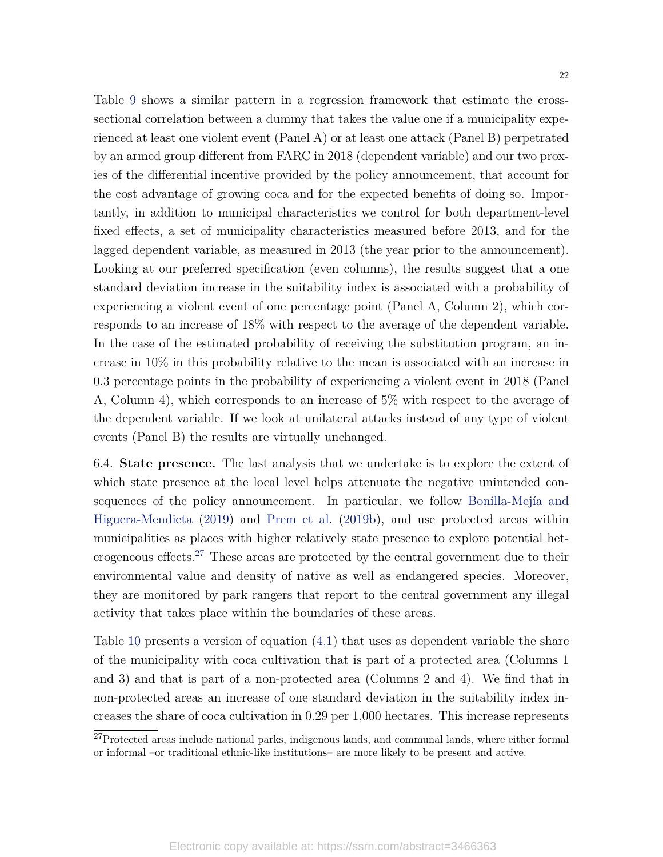Table [9](#page-41-0) shows a similar pattern in a regression framework that estimate the crosssectional correlation between a dummy that takes the value one if a municipality experienced at least one violent event (Panel A) or at least one attack (Panel B) perpetrated by an armed group different from FARC in 2018 (dependent variable) and our two proxies of the differential incentive provided by the policy announcement, that account for the cost advantage of growing coca and for the expected benefits of doing so. Importantly, in addition to municipal characteristics we control for both department-level fixed effects, a set of municipality characteristics measured before 2013, and for the lagged dependent variable, as measured in 2013 (the year prior to the announcement). Looking at our preferred specification (even columns), the results suggest that a one standard deviation increase in the suitability index is associated with a probability of experiencing a violent event of one percentage point (Panel A, Column 2), which corresponds to an increase of 18% with respect to the average of the dependent variable. In the case of the estimated probability of receiving the substitution program, an increase in 10% in this probability relative to the mean is associated with an increase in 0.3 percentage points in the probability of experiencing a violent event in 2018 (Panel A, Column 4), which corresponds to an increase of 5% with respect to the average of the dependent variable. If we look at unilateral attacks instead of any type of violent events (Panel B) the results are virtually unchanged.

6.4. **State presence.** The last analysis that we undertake is to explore the extent of which state presence at the local level helps attenuate the negative unintended consequences of the policy announcement. In particular, we follow Bonilla-Mejía and [Higuera-Mendieta](#page-25-19) [\(2019\)](#page-25-19) and [Prem et al.](#page-27-11) [\(2019b\)](#page-27-11), and use protected areas within municipalities as places with higher relatively state presence to explore potential heterogeneous effects.[27](#page-22-0) These areas are protected by the central government due to their environmental value and density of native as well as endangered species. Moreover, they are monitored by park rangers that report to the central government any illegal activity that takes place within the boundaries of these areas.

Table [10](#page-42-0) presents a version of equation [\(4.1\)](#page-12-3) that uses as dependent variable the share of the municipality with coca cultivation that is part of a protected area (Columns 1 and 3) and that is part of a non-protected area (Columns 2 and 4). We find that in non-protected areas an increase of one standard deviation in the suitability index increases the share of coca cultivation in 0.29 per 1,000 hectares. This increase represents

<span id="page-22-0"></span> $^{27}$ Protected areas include national parks, indigenous lands, and communal lands, where either formal or informal –or traditional ethnic-like institutions– are more likely to be present and active.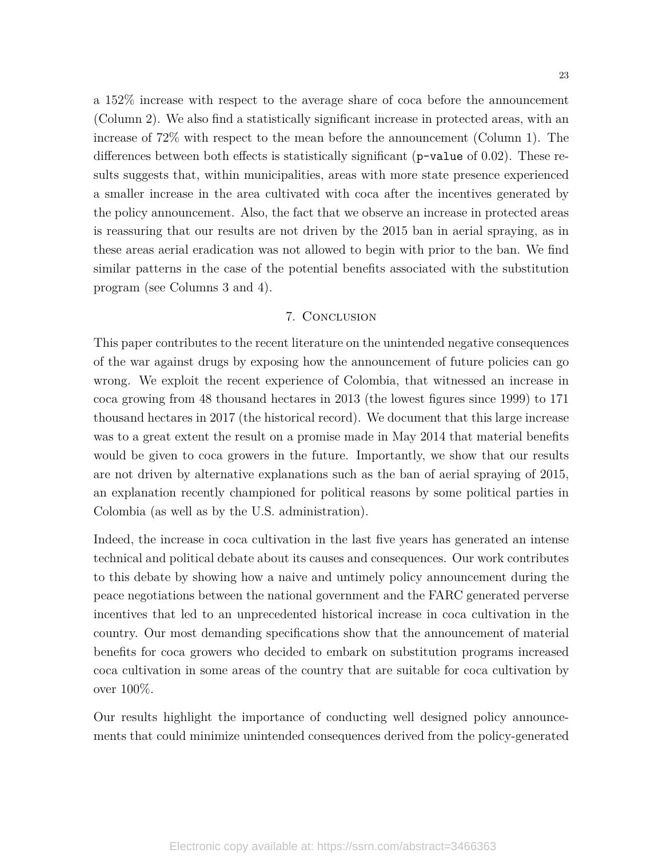a 152% increase with respect to the average share of coca before the announcement (Column 2). We also find a statistically significant increase in protected areas, with an increase of 72% with respect to the mean before the announcement (Column 1). The differences between both effects is statistically significant (p-value of 0.02). These results suggests that, within municipalities, areas with more state presence experienced a smaller increase in the area cultivated with coca after the incentives generated by the policy announcement. Also, the fact that we observe an increase in protected areas is reassuring that our results are not driven by the 2015 ban in aerial spraying, as in these areas aerial eradication was not allowed to begin with prior to the ban. We find similar patterns in the case of the potential benefits associated with the substitution program (see Columns 3 and 4).

### 7. Conclusion

<span id="page-23-0"></span>This paper contributes to the recent literature on the unintended negative consequences of the war against drugs by exposing how the announcement of future policies can go wrong. We exploit the recent experience of Colombia, that witnessed an increase in coca growing from 48 thousand hectares in 2013 (the lowest figures since 1999) to 171 thousand hectares in 2017 (the historical record). We document that this large increase was to a great extent the result on a promise made in May 2014 that material benefits would be given to coca growers in the future. Importantly, we show that our results are not driven by alternative explanations such as the ban of aerial spraying of 2015, an explanation recently championed for political reasons by some political parties in Colombia (as well as by the U.S. administration).

Indeed, the increase in coca cultivation in the last five years has generated an intense technical and political debate about its causes and consequences. Our work contributes to this debate by showing how a naive and untimely policy announcement during the peace negotiations between the national government and the FARC generated perverse incentives that led to an unprecedented historical increase in coca cultivation in the country. Our most demanding specifications show that the announcement of material benefits for coca growers who decided to embark on substitution programs increased coca cultivation in some areas of the country that are suitable for coca cultivation by over 100%.

Our results highlight the importance of conducting well designed policy announcements that could minimize unintended consequences derived from the policy-generated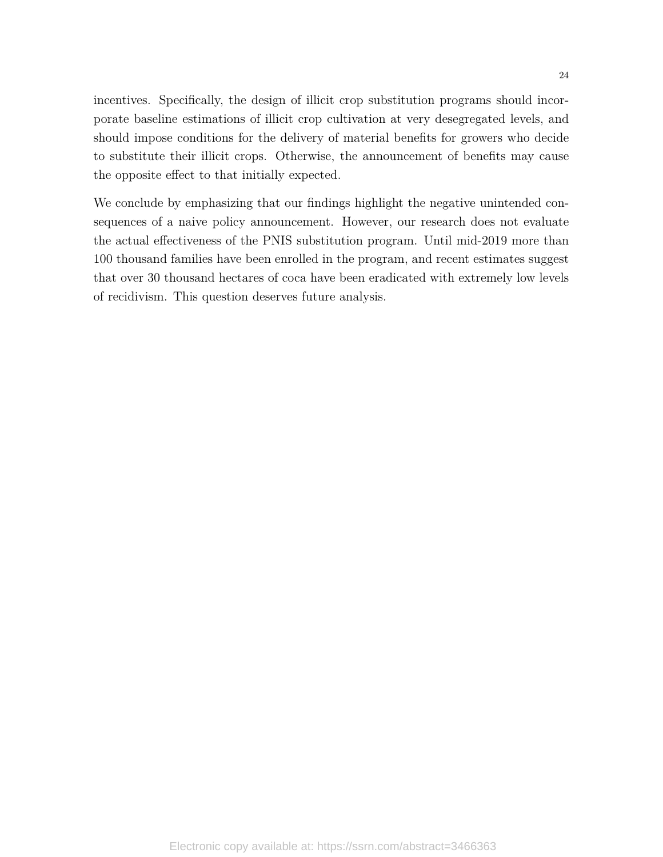incentives. Specifically, the design of illicit crop substitution programs should incorporate baseline estimations of illicit crop cultivation at very desegregated levels, and should impose conditions for the delivery of material benefits for growers who decide to substitute their illicit crops. Otherwise, the announcement of benefits may cause the opposite effect to that initially expected.

We conclude by emphasizing that our findings highlight the negative unintended consequences of a naive policy announcement. However, our research does not evaluate the actual effectiveness of the PNIS substitution program. Until mid-2019 more than 100 thousand families have been enrolled in the program, and recent estimates suggest that over 30 thousand hectares of coca have been eradicated with extremely low levels of recidivism. This question deserves future analysis.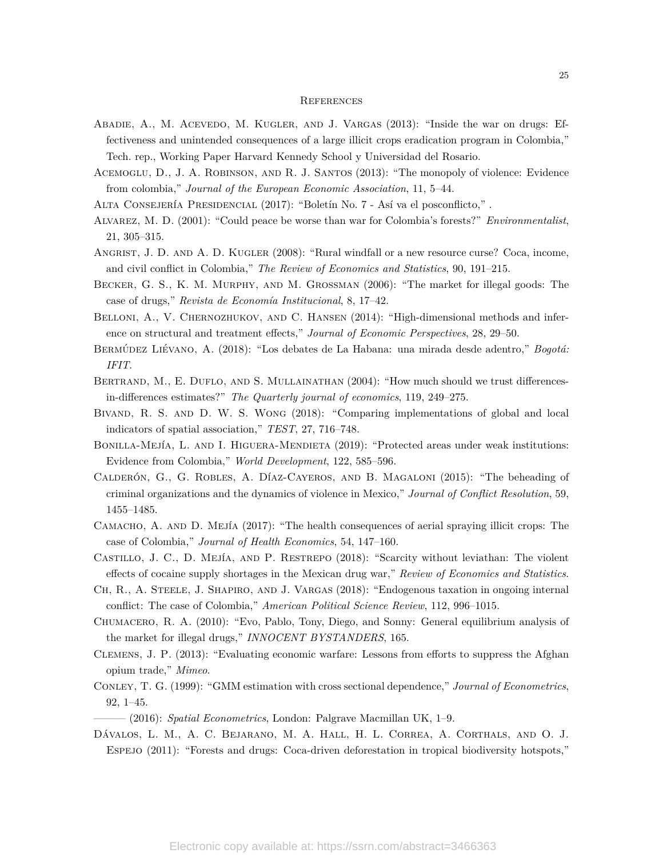#### **REFERENCES**

- <span id="page-25-2"></span>Abadie, A., M. Acevedo, M. Kugler, and J. Vargas (2013): "Inside the war on drugs: Effectiveness and unintended consequences of a large illicit crops eradication program in Colombia," Tech. rep., Working Paper Harvard Kennedy School y Universidad del Rosario.
- <span id="page-25-17"></span>Acemoglu, D., J. A. Robinson, and R. J. Santos (2013): "The monopoly of violence: Evidence from colombia," *Journal of the European Economic Association*, 11, 5–44.
- <span id="page-25-12"></span>ALTA CONSEJERÍA PRESIDENCIAL (2017): "Boletín No. 7 - Así va el posconflicto,".
- <span id="page-25-7"></span>Alvarez, M. D. (2001): "Could peace be worse than war for Colombia's forests?" *Environmentalist*, 21, 305–315.
- <span id="page-25-8"></span>ANGRIST, J. D. AND A. D. KUGLER (2008): "Rural windfall or a new resource curse? Coca, income, and civil conflict in Colombia," *The Review of Economics and Statistics*, 90, 191–215.
- <span id="page-25-4"></span>Becker, G. S., K. M. Murphy, and M. Grossman (2006): "The market for illegal goods: The case of drugs," *Revista de Economía Institucional*, 8, 17–42.
- <span id="page-25-16"></span>BELLONI, A., V. CHERNOZHUKOV, AND C. HANSEN (2014): "High-dimensional methods and inference on structural and treatment effects," *Journal of Economic Perspectives*, 28, 29–50.
- <span id="page-25-5"></span>BERMÚDEZ LIÉVANO, A. (2018): "Los debates de La Habana: una mirada desde adentro," *Bogotá: IFIT*.
- <span id="page-25-15"></span>BERTRAND, M., E. DUFLO, AND S. MULLAINATHAN (2004): "How much should we trust differencesin-differences estimates?" *The Quarterly journal of economics*, 119, 249–275.
- <span id="page-25-11"></span>Bivand, R. S. and D. W. S. Wong (2018): "Comparing implementations of global and local indicators of spatial association," *TEST*, 27, 716–748.
- <span id="page-25-19"></span>BONILLA-MEJÍA, L. AND I. HIGUERA-MENDIETA (2019): "Protected areas under weak institutions: Evidence from Colombia," *World Development*, 122, 585–596.
- <span id="page-25-0"></span>CALDERÓN, G., G. ROBLES, A. DÍAZ-CAYEROS, AND B. MAGALONI (2015): "The beheading of criminal organizations and the dynamics of violence in Mexico," *Journal of Conflict Resolution*, 59, 1455–1485.
- <span id="page-25-6"></span>CAMACHO, A. AND D. MEJÍA (2017): "The health consequences of aerial spraying illicit crops: The case of Colombia," *Journal of Health Economics*, 54, 147–160.
- <span id="page-25-3"></span>CASTILLO, J. C., D. MEJÍA, AND P. RESTREPO (2018): "Scarcity without leviathan: The violent effects of cocaine supply shortages in the Mexican drug war," *Review of Economics and Statistics*.
- <span id="page-25-18"></span>CH, R., A. STEELE, J. SHAPIRO, AND J. VARGAS (2018): "Endogenous taxation in ongoing internal conflict: The case of Colombia," *American Political Science Review*, 112, 996–1015.
- <span id="page-25-10"></span>Chumacero, R. A. (2010): "Evo, Pablo, Tony, Diego, and Sonny: General equilibrium analysis of the market for illegal drugs," *INNOCENT BYSTANDERS*, 165.
- <span id="page-25-1"></span>Clemens, J. P. (2013): "Evaluating economic warfare: Lessons from efforts to suppress the Afghan opium trade," *Mimeo*.
- <span id="page-25-13"></span>Conley, T. G. (1999): "GMM estimation with cross sectional dependence," *Journal of Econometrics*, 92, 1–45.
- <span id="page-25-14"></span>——— (2016): *Spatial Econometrics*, London: Palgrave Macmillan UK, 1–9.
- <span id="page-25-9"></span>DÁVALOS, L. M., A. C. BEJARANO, M. A. HALL, H. L. CORREA, A. CORTHALS, AND O. J. ESPEJO (2011): "Forests and drugs: Coca-driven deforestation in tropical biodiversity hotspots,"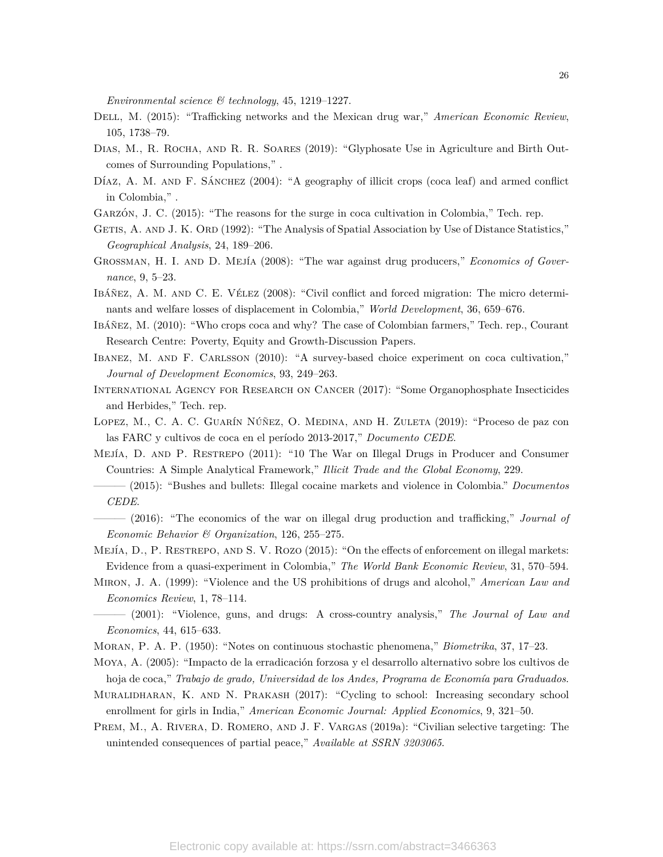*Environmental science & technology*, 45, 1219–1227.

- <span id="page-26-2"></span>Dell, M. (2015): "Trafficking networks and the Mexican drug war," *American Economic Review*, 105, 1738–79.
- <span id="page-26-16"></span>DIAS, M., R. ROCHA, AND R. R. SOARES (2019): "Glyphosate Use in Agriculture and Birth Outcomes of Surrounding Populations," .
- <span id="page-26-7"></span> $Díaz$ , A. M. AND F. SÁNCHEZ  $(2004)$ : "A geography of illicit crops (coca leaf) and armed conflict in Colombia," .
- <span id="page-26-18"></span><span id="page-26-4"></span>GARZÓN, J. C. (2015): "The reasons for the surge in coca cultivation in Colombia," Tech. rep.
- GETIS, A. AND J. K. ORD (1992): "The Analysis of Spatial Association by Use of Distance Statistics," *Geographical Analysis*, 24, 189–206.
- <span id="page-26-11"></span>GROSSMAN, H. I. AND D. MEJÍA (2008): "The war against drug producers," *Economics of Governance*, 9, 5–23.
- <span id="page-26-8"></span>IBÁÑEZ, A. M. AND C. E. VÉLEZ (2008): "Civil conflict and forced migration: The micro determinants and welfare losses of displacement in Colombia," *World Development*, 36, 659–676.
- <span id="page-26-10"></span>IBÁÑEZ, M. (2010): "Who crops coca and why? The case of Colombian farmers," Tech. rep., Courant Research Centre: Poverty, Equity and Growth-Discussion Papers.
- <span id="page-26-9"></span>Ibanez, M. and F. Carlsson (2010): "A survey-based choice experiment on coca cultivation," *Journal of Development Economics*, 93, 249–263.
- <span id="page-26-15"></span>International Agency for Research on Cancer (2017): "Some Organophosphate Insecticides and Herbides," Tech. rep.
- <span id="page-26-6"></span>LOPEZ, M., C. A. C. GUARÍN NÚÑEZ, O. MEDINA, AND H. ZULETA (2019): "Proceso de paz con las FARC y cultivos de coca en el período 2013-2017," *Documento CEDE*.
- <span id="page-26-12"></span>MEJÍA, D. AND P. RESTREPO (2011): "10 The War on Illegal Drugs in Producer and Consumer Countries: A Simple Analytical Framework," *Illicit Trade and the Global Economy*, 229.
- <span id="page-26-5"></span>——— (2015): "Bushes and bullets: Illegal cocaine markets and violence in Colombia." *Documentos CEDE*.
- <span id="page-26-3"></span>——— (2016): "The economics of the war on illegal drug production and trafficking," *Journal of Economic Behavior & Organization*, 126, 255–275.
- <span id="page-26-14"></span>MEJÍA, D., P. RESTREPO, AND S. V. ROZO (2015): "On the effects of enforcement on illegal markets: Evidence from a quasi-experiment in Colombia," *The World Bank Economic Review*, 31, 570–594.
- <span id="page-26-0"></span>Miron, J. A. (1999): "Violence and the US prohibitions of drugs and alcohol," *American Law and Economics Review*, 1, 78–114.
- <span id="page-26-1"></span>——— (2001): "Violence, guns, and drugs: A cross-country analysis," *The Journal of Law and Economics*, 44, 615–633.
- <span id="page-26-17"></span><span id="page-26-13"></span>Moran, P. A. P. (1950): "Notes on continuous stochastic phenomena," *Biometrika*, 37, 17–23.
- Moya, A. (2005): "Impacto de la erradicación forzosa y el desarrollo alternativo sobre los cultivos de hoja de coca," *Trabajo de grado, Universidad de los Andes, Programa de Economía para Graduados.*
- <span id="page-26-19"></span>Muralidharan, K. and N. Prakash (2017): "Cycling to school: Increasing secondary school enrollment for girls in India," *American Economic Journal: Applied Economics*, 9, 321–50.
- <span id="page-26-20"></span>PREM, M., A. RIVERA, D. ROMERO, AND J. F. VARGAS (2019a): "Civilian selective targeting: The unintended consequences of partial peace," *Available at SSRN 3203065*.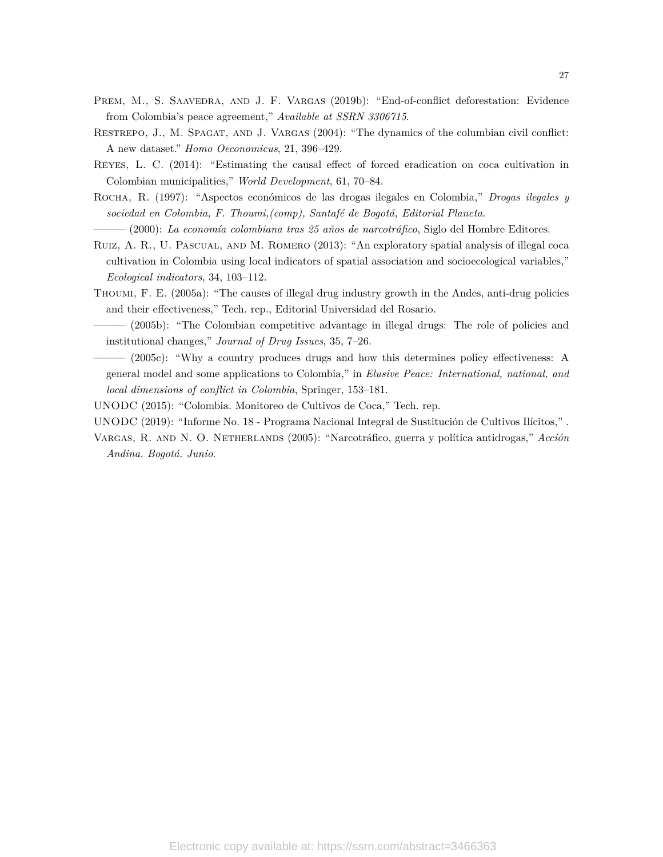- <span id="page-27-11"></span>PREM, M., S. SAAVEDRA, AND J. F. VARGAS (2019b): "End-of-conflict deforestation: Evidence from Colombia's peace agreement," *Available at SSRN 3306715*.
- <span id="page-27-9"></span>RESTREPO, J., M. SPAGAT, AND J. VARGAS (2004): "The dynamics of the columbian civil conflict: A new dataset." *Homo Oeconomicus*, 21, 396–429.
- <span id="page-27-7"></span>Reyes, L. C. (2014): "Estimating the causal effect of forced eradication on coca cultivation in Colombian municipalities," *World Development*, 61, 70–84.
- <span id="page-27-2"></span>ROCHA, R. (1997): "Aspectos económicos de las drogas ilegales en Colombia," *Drogas ilegales y sociedad en Colombia, F. Thoumi,(comp), Santaf´e de Bogot´a, Editorial Planeta*.
- <span id="page-27-3"></span>——— (2000): *La econom´ıa colombiana tras 25 a˜nos de narcotr´afico*, Siglo del Hombre Editores.
- <span id="page-27-1"></span>Ruiz, A. R., U. Pascual, and M. Romero (2013): "An exploratory spatial analysis of illegal coca cultivation in Colombia using local indicators of spatial association and socioecological variables," *Ecological indicators*, 34, 103–112.
- <span id="page-27-4"></span>Thoumi, F. E. (2005a): "The causes of illegal drug industry growth in the Andes, anti-drug policies and their effectiveness," Tech. rep., Editorial Universidad del Rosario.
- <span id="page-27-5"></span>——— (2005b): "The Colombian competitive advantage in illegal drugs: The role of policies and institutional changes," *Journal of Drug Issues*, 35, 7–26.
- <span id="page-27-6"></span>– (2005c): "Why a country produces drugs and how this determines policy effectiveness: A general model and some applications to Colombia," in *Elusive Peace: International, national, and local dimensions of conflict in Colombia*, Springer, 153–181.
- <span id="page-27-8"></span>UNODC (2015): "Colombia. Monitoreo de Cultivos de Coca," Tech. rep.
- <span id="page-27-10"></span><span id="page-27-0"></span>UNODC (2019): "Informe No. 18 - Programa Nacional Integral de Sustitución de Cultivos Ilícitos," .
- VARGAS, R. AND N. O. NETHERLANDS (2005): "Narcotráfico, guerra y política antidrogas," *Acción Andina. Bogot´a. Junio*.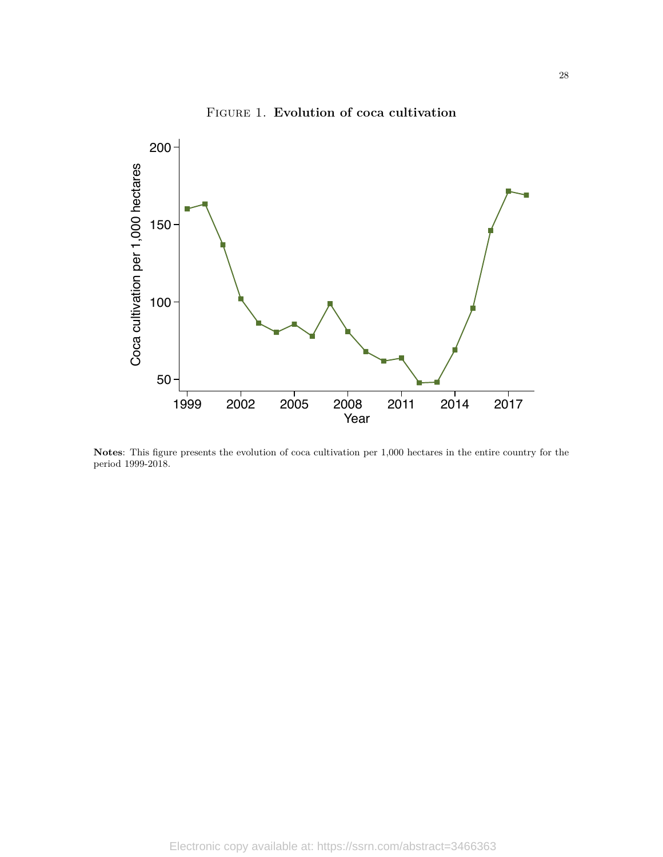<span id="page-28-0"></span>

Figure 1. **Evolution of coca cultivation**

**Notes**: This figure presents the evolution of coca cultivation per 1,000 hectares in the entire country for the period 1999-2018.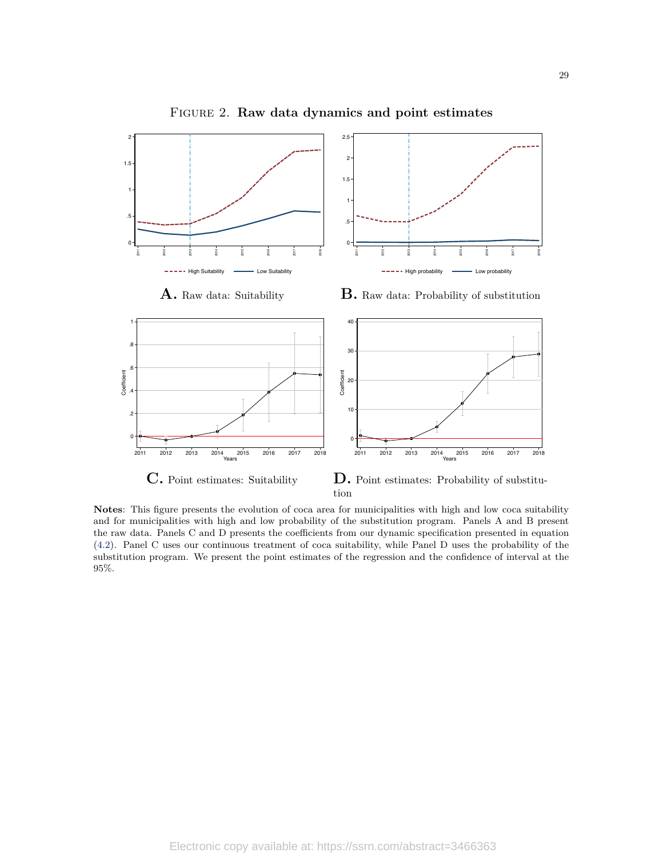<span id="page-29-0"></span>

Figure 2. **Raw data dynamics and point estimates**

**Notes**: This figure presents the evolution of coca area for municipalities with high and low coca suitability and for municipalities with high and low probability of the substitution program. Panels A and B present the raw data. Panels C and D presents the coefficients from our dynamic specification presented in equation [\(4.2\)](#page-13-0). Panel C uses our continuous treatment of coca suitability, while Panel D uses the probability of the substitution program. We present the point estimates of the regression and the confidence of interval at the 95%.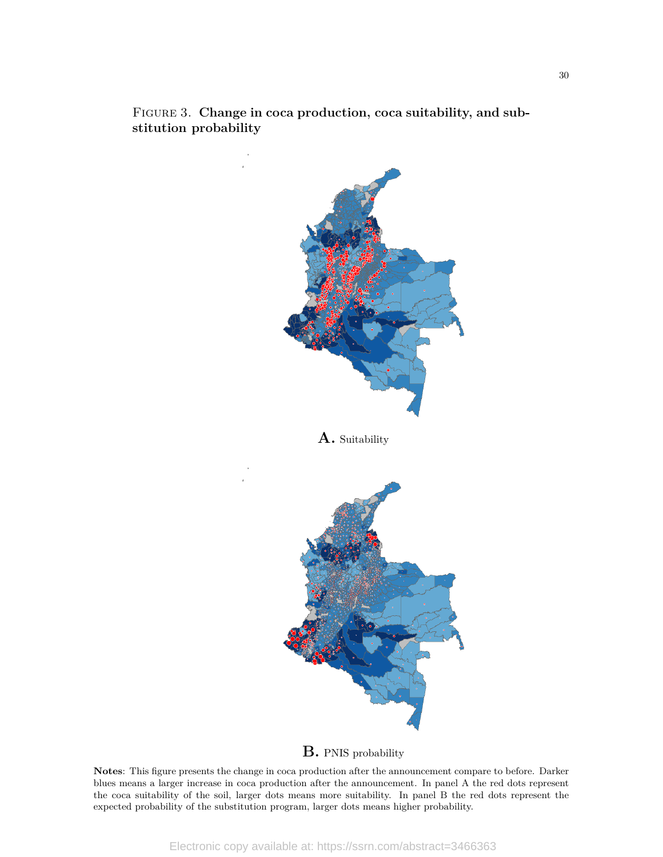<span id="page-30-0"></span>Figure 3. **Change in coca production, coca suitability, and substitution probability**



**A.** Suitability



**B.** PNIS probability

**Notes**: This figure presents the change in coca production after the announcement compare to before. Darker blues means a larger increase in coca production after the announcement. In panel A the red dots represent the coca suitability of the soil, larger dots means more suitability. In panel B the red dots represent the expected probability of the substitution program, larger dots means higher probability.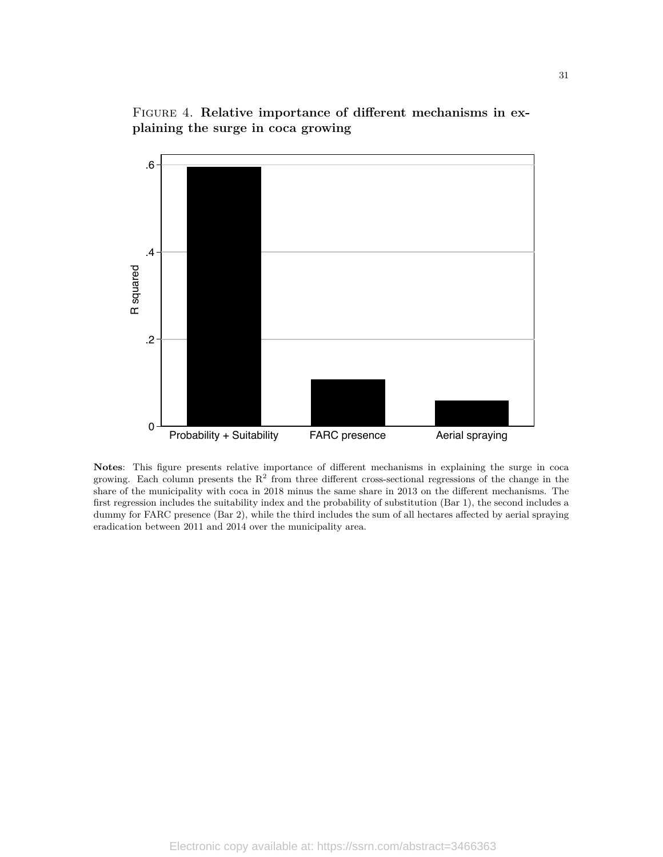<span id="page-31-0"></span>Figure 4. **Relative importance of different mechanisms in explaining the surge in coca growing**



**Notes**: This figure presents relative importance of different mechanisms in explaining the surge in coca growing. Each column presents the  $R^2$  from three different cross-sectional regressions of the change in the share of the municipality with coca in 2018 minus the same share in 2013 on the different mechanisms. The first regression includes the suitability index and the probability of substitution (Bar 1), the second includes a dummy for FARC presence (Bar 2), while the third includes the sum of all hectares affected by aerial spraying eradication between 2011 and 2014 over the municipality area.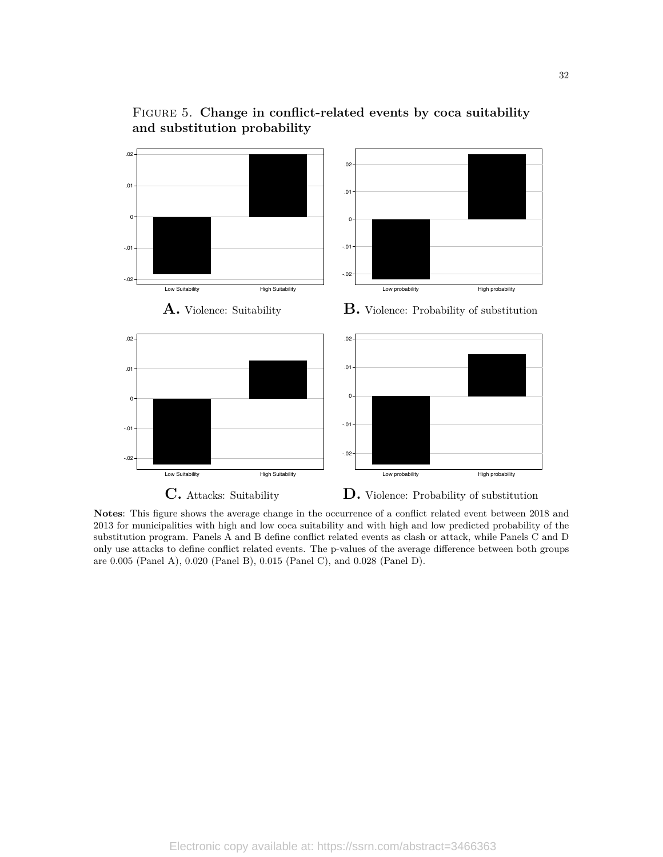

<span id="page-32-0"></span>Figure 5. **Change in conflict-related events by coca suitability and substitution probability**

**Notes**: This figure shows the average change in the occurrence of a conflict related event between 2018 and 2013 for municipalities with high and low coca suitability and with high and low predicted probability of the substitution program. Panels A and B define conflict related events as clash or attack, while Panels C and D only use attacks to define conflict related events. The p-values of the average difference between both groups are 0.005 (Panel A), 0.020 (Panel B), 0.015 (Panel C), and 0.028 (Panel D).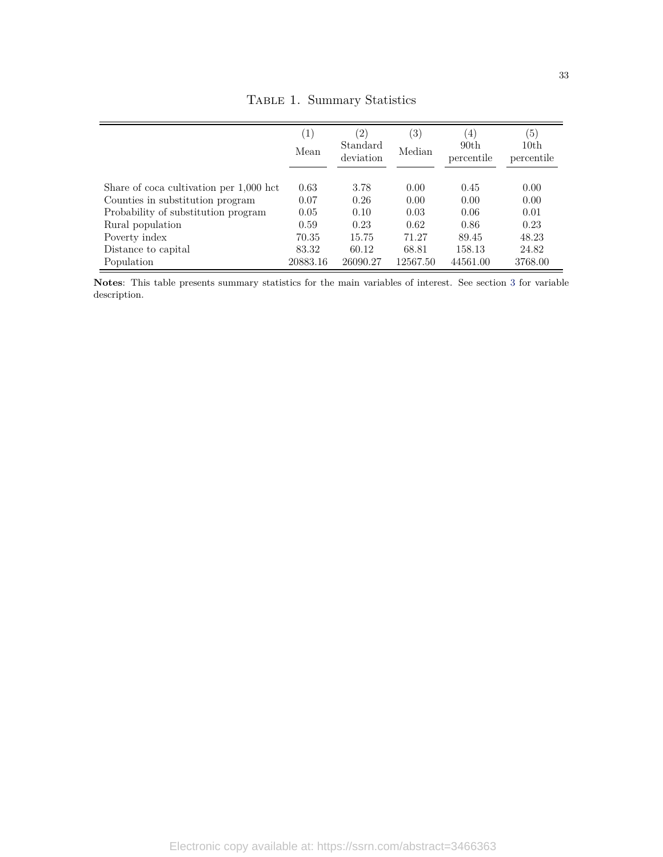<span id="page-33-0"></span>

|                                          | $\left(1\right)$<br>Mean | $\left( 2\right)$<br>Standard<br>deviation | $\left(3\right)$<br>Median | $\left(4\right)$<br>90 <sub>th</sub><br>percentile | [5]<br>10th<br>percentile |
|------------------------------------------|--------------------------|--------------------------------------------|----------------------------|----------------------------------------------------|---------------------------|
| Share of coca cultivation per 1,000 hct. | 0.63                     | 3.78                                       | 0.00                       | 0.45                                               | 0.00                      |
| Counties in substitution program         | 0.07                     | 0.26                                       | 0.00                       | 0.00                                               | 0.00                      |
| Probability of substitution program      | 0.05                     | 0.10                                       | 0.03                       | 0.06                                               | 0.01                      |
| Rural population                         | 0.59                     | 0.23                                       | 0.62                       | 0.86                                               | 0.23                      |
| Poverty index                            | 70.35                    | 15.75                                      | 71.27                      | 89.45                                              | 48.23                     |
| Distance to capital                      | 83.32                    | 60.12                                      | 68.81                      | 158.13                                             | 24.82                     |
| Population                               | 20883.16                 | 26090.27                                   | 12567.50                   | 44561.00                                           | 3768.00                   |

Table 1. Summary Statistics

**Notes**: This table presents summary statistics for the main variables of interest. See section [3](#page-8-0) for variable description.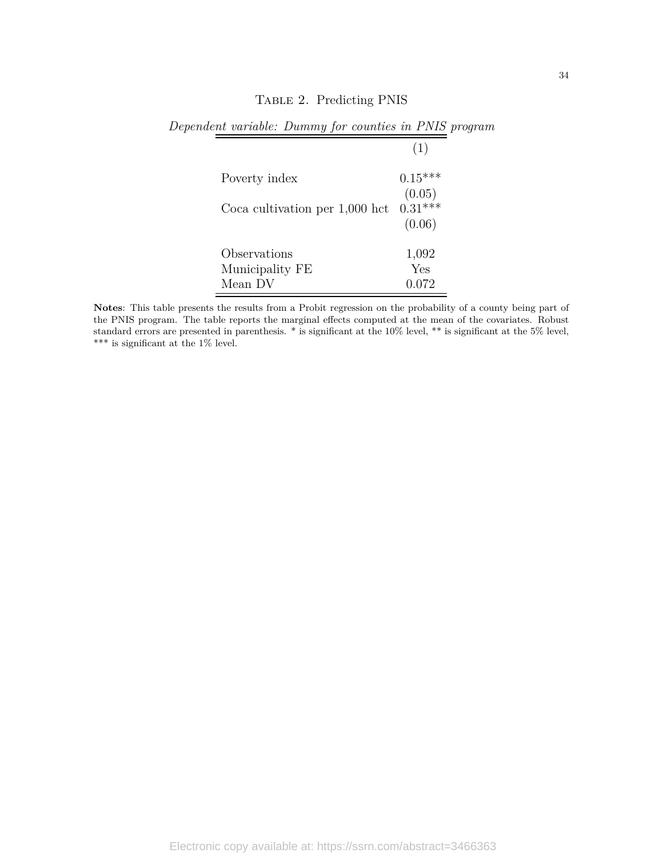# Table 2. Predicting PNIS

|                                | (1)                 |
|--------------------------------|---------------------|
| Poverty index                  | $0.15***$           |
| Coca cultivation per 1,000 hct | (0.05)<br>$0.31***$ |
|                                | (0.06)              |
| Observations                   | 1,092               |
| Municipality FE                | Yes                 |
| Mean DV                        | 0.072               |

# <span id="page-34-0"></span>*Dependent variable: Dummy for counties in PNIS program*

**Notes**: This table presents the results from a Probit regression on the probability of a county being part of the PNIS program. The table reports the marginal effects computed at the mean of the covariates. Robust standard errors are presented in parenthesis. \* is significant at the 10% level, \*\* is significant at the 5% level,  $^{***}$  is significant at the 1% level.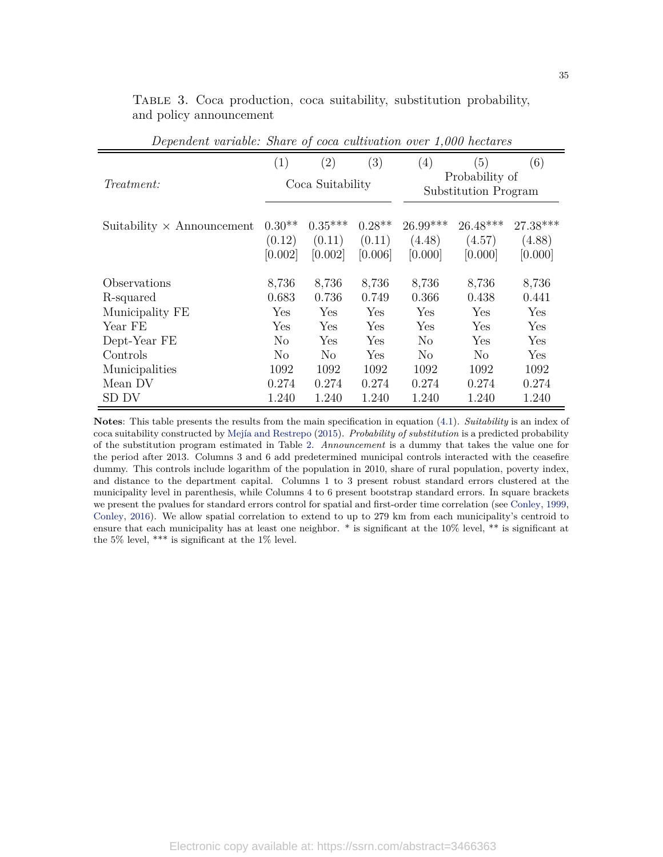|                                   | (1)            | $\left( 2\right)$ | $\left( 3\right)$ | $\left(4\right)$ | (5)                  | (6)      |
|-----------------------------------|----------------|-------------------|-------------------|------------------|----------------------|----------|
| <i>Treatment:</i>                 |                | Coca Suitability  |                   |                  | Probability of       |          |
|                                   |                |                   |                   |                  | Substitution Program |          |
|                                   |                |                   |                   |                  |                      |          |
| Suitability $\times$ Announcement | $0.30**$       | $0.35***$         | $0.28**$          | 26.99***         | $26.48***$           | 27.38*** |
|                                   | (0.12)         | (0.11)            | (0.11)            | (4.48)           | (4.57)               | (4.88)   |
|                                   | [0.002]        | [0.002]           | [0.006]           | [0.000]          | [0.000]              | [0.000]  |
|                                   |                |                   |                   |                  |                      |          |
| Observations                      | 8,736          | 8,736             | 8,736             | 8,736            | 8,736                | 8,736    |
| R-squared                         | 0.683          | 0.736             | 0.749             | 0.366            | 0.438                | 0.441    |
| Municipality FE                   | Yes            | Yes               | Yes               | Yes              | Yes                  | Yes      |
| Year FE                           | Yes            | Yes               | Yes               | Yes              | Yes                  | Yes      |
| Dept-Year FE                      | N <sub>o</sub> | Yes               | Yes               | $\rm No$         | Yes                  | Yes      |
| Controls                          | N <sub>0</sub> | N <sub>0</sub>    | Yes               | N <sub>o</sub>   | N <sub>0</sub>       | Yes      |
| Municipalities                    | 1092           | 1092              | 1092              | 1092             | 1092                 | 1092     |
| Mean DV                           | 0.274          | 0.274             | 0.274             | 0.274            | 0.274                | 0.274    |
| SD DV                             | 1.240          | 1.240             | 1.240             | 1.240            | 1.240                | 1.240    |

# <span id="page-35-0"></span>Table 3. Coca production, coca suitability, substitution probability, and policy announcement

*Dependent variable: Share of coca cultivation over 1,000 hectares*

**Notes**: This table presents the results from the main specification in equation [\(4.1\)](#page-12-3). *Suitability* is an index of coca suitability constructed by Mejía and Restrepo [\(2015\)](#page-26-5). *Probability of substitution* is a predicted probability of the substitution program estimated in Table [2.](#page-34-0) *Announcement* is a dummy that takes the value one for the period after 2013. Columns 3 and 6 add predetermined municipal controls interacted with the ceasefire dummy. This controls include logarithm of the population in 2010, share of rural population, poverty index, and distance to the department capital. Columns 1 to 3 present robust standard errors clustered at the municipality level in parenthesis, while Columns 4 to 6 present bootstrap standard errors. In square brackets we present the pvalues for standard errors control for spatial and first-order time correlation (see [Conley,](#page-25-13) [1999,](#page-25-13) [Conley,](#page-25-14) [2016\)](#page-25-14). We allow spatial correlation to extend to up to 279 km from each municipality's centroid to ensure that each municipality has at least one neighbor. \* is significant at the 10% level, \*\* is significant at the 5% level, \*\*\* is significant at the 1% level.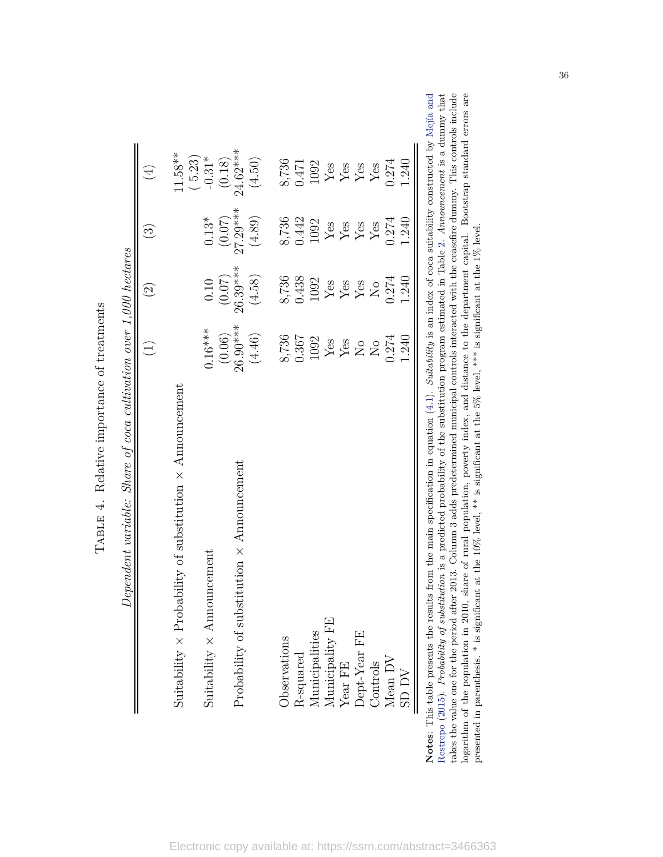| i                 |
|-------------------|
|                   |
|                   |
|                   |
| nontonono of<br>l |
|                   |
| í                 |
|                   |
| $-10 + 11 + 7$    |
|                   |
|                   |
|                   |
|                   |
| $\frac{1}{2}$     |
|                   |
|                   |

Dependent variable: Share of coca cultivation over 1,000 hectares *Dependent variable: Share of coca cultivation over 1,000 hectares*

|                                                                        | $\begin{pmatrix} 1 \\ 1 \end{pmatrix}$                                                                 | $\left( 2\right)$                                                                                                                                                                                                                                                                                                                                                                | $\odot$                              | $(\pm)$                                                                                              |
|------------------------------------------------------------------------|--------------------------------------------------------------------------------------------------------|----------------------------------------------------------------------------------------------------------------------------------------------------------------------------------------------------------------------------------------------------------------------------------------------------------------------------------------------------------------------------------|--------------------------------------|------------------------------------------------------------------------------------------------------|
| Suitability $\times$ Probability of substitution $\times$ Announcement |                                                                                                        |                                                                                                                                                                                                                                                                                                                                                                                  |                                      | $11.58**$<br>(5.23)                                                                                  |
| Suitability $\times$ Announcement                                      | $0.16***$                                                                                              | 0.10                                                                                                                                                                                                                                                                                                                                                                             | $0.13*$                              | $-0.31*$                                                                                             |
| Probability of substitution $\times$ Announcement                      | 26.90***<br>(0.06)                                                                                     | $26.39***$<br>(0.07)                                                                                                                                                                                                                                                                                                                                                             | $27.29***$<br>(0.07)                 | 24.62***<br>(0.18)                                                                                   |
|                                                                        | (4.46)                                                                                                 | (4.58)                                                                                                                                                                                                                                                                                                                                                                           | (4.89)                               | (4.50)                                                                                               |
| Observations                                                           |                                                                                                        | 8,736                                                                                                                                                                                                                                                                                                                                                                            | 8,736                                | 8,736                                                                                                |
| R-squared                                                              | 8,736<br>0.367                                                                                         | 0.438                                                                                                                                                                                                                                                                                                                                                                            | 0.442                                |                                                                                                      |
| Municipalities                                                         |                                                                                                        | 1092                                                                                                                                                                                                                                                                                                                                                                             | 1092                                 | $\begin{array}{l} 0.471 \\ 1092 \\ \text{Yes} \\ \text{Yes} \\ \text{Yes} \\ \text{Yes} \end{array}$ |
| Municipality FE                                                        |                                                                                                        |                                                                                                                                                                                                                                                                                                                                                                                  |                                      |                                                                                                      |
| Year ${\rm FE}$                                                        |                                                                                                        |                                                                                                                                                                                                                                                                                                                                                                                  |                                      |                                                                                                      |
| Dept-Year FE                                                           | $\begin{array}{c} 1092 \\ \text{Yes} \\ \text{Yes} \\ \text{Ne} \\ \text{No} \\ \text{No} \end{array}$ | $\begin{array}{l} \rm Yes\\ \rm Yes\\ \rm Yes\\ \rm Yes\\ \rm N\,c\\ \rm N\,c\\ \rm N\,c\\ \rm N\,c\\ \rm N\,c\\ \rm N\,c\\ \rm N\,c\\ \rm N\,c\\ \rm N\,c\\ \rm N\,c\\ \rm N\,c\\ \rm N\,c\\ \rm N\,c\\ \rm N\,c\\ \rm N\,c\\ \rm N\,c\\ \rm N\,c\\ \rm N\,c\\ \rm N\,c\\ \rm N\,c\\ \rm N\,c\\ \rm N\,c\\ \rm N\,c\\ \rm N\,c\\ \rm N\,c\\ \rm N\,c\\ \rm N\,c\\ \rm N\,c\\ \$ | $\frac{Y}{Y}$ es<br>$\frac{Y}{Y}$ es |                                                                                                      |
| Controls                                                               |                                                                                                        |                                                                                                                                                                                                                                                                                                                                                                                  |                                      |                                                                                                      |
| Mean DV                                                                | 0.274                                                                                                  | 0.274                                                                                                                                                                                                                                                                                                                                                                            | 0.274                                | 0.274                                                                                                |
| $\rm SD~DV$                                                            | 1.240                                                                                                  | 1.240                                                                                                                                                                                                                                                                                                                                                                            | 1.240                                | 1.240                                                                                                |

<span id="page-36-0"></span>**Notes:** This table presents the results from the main specification in equation  $(4.1)$ . Suitability is an index of coca suitability constructed by Mejía and Restrepo (2015). Probability of substitution is a predicted pr logarithm of the population in 2010, share of rural population, poverty index, and distance to the department capital. Bootstrap standard errors are presented in parenthesis. \* is significant at the 10% level, \*\* is signi takes the value one for the period after 2013. Column 3 adds predetermined municipal controls interacted with the ceasefire dummy. This controls include **Notes**: This table presents the results from the main specification in equation ([4.1\)](#page-12-3). *Suitability* is an index of coca suitability constructed by [Mej´ıa](#page-26-5) and [Restrepo](#page-26-5) [\(2015\)](#page-26-5). *Probability of substitution* is a predicted probability of the substitution program estimated in Table [2.](#page-34-0) *Announcement* is a dummy that takes the value one for the period after 2013. Column 3 adds predetermined municipal controls interacted with the ceasefire dummy. This controls include logarithm of the population in 2010, share of rural population, poverty index, and distance to the department capital. Bootstrap standard errors are presented in parenthesis. \* is significant at the 10% level, \*\* is significant at the 5% level, \*\*\* is significant at the 1% level.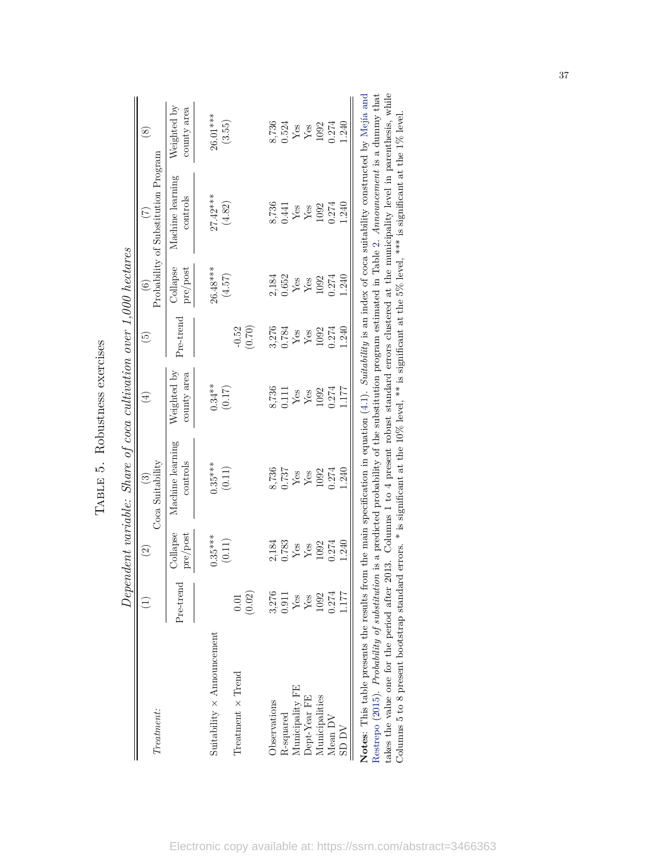|                                                                                                                                                                                |                        |                        | Dependent variable: Share of coca cultivation over 1,000 hectares |                            |                        |                                    |                                            |                                      |
|--------------------------------------------------------------------------------------------------------------------------------------------------------------------------------|------------------------|------------------------|-------------------------------------------------------------------|----------------------------|------------------------|------------------------------------|--------------------------------------------|--------------------------------------|
| Treatment:                                                                                                                                                                     |                        | $\widehat{\Omega}$     | Coca Suitability<br>$\binom{3}{2}$                                | $(\pm)$                    | ම                      | $\odot$                            | Probability of Substitution Program<br>(7) | $\circledast$                        |
|                                                                                                                                                                                | Pre-trend              | Collapse<br>pre/post   | Machine learning<br>controls                                      | Weighted by<br>county area | Pre-trend              | Collapse<br>pre/post               | Machine learning<br>controls               | Weighted by<br>county area           |
| Suitability $\times$ Announcement                                                                                                                                              |                        | $0.35***$<br>(0.11)    | $0.35***$<br>(0.11)                                               | $0.34***$<br>(0.17)        |                        | $26.48***$<br>(4.57)               | $27.42***$<br>(4.82)                       | 26.01***<br>(3.55)                   |
| $Treatment \times Trend$                                                                                                                                                       | (0.02)<br>0.01         |                        |                                                                   |                            | $-0.52$<br>(0.70)      |                                    |                                            |                                      |
| <b>O</b> servations                                                                                                                                                            |                        | 2,184                  | 8,736                                                             | 8,736                      |                        | 2,184                              |                                            | 8,736                                |
| R-squared                                                                                                                                                                      | 3,276<br>0.911         | 0.783                  |                                                                   | 0.111                      | 3,276<br>0.784         |                                    | 8,736<br>0.441                             |                                      |
| Municipality FE                                                                                                                                                                | $_{\rm Yes}^{\rm Yes}$ | $_{\rm Yes}^{\rm Yes}$ | $\frac{V}{Y}$ es<br>Yes                                           | Yes                        | $_{\rm Yes}^{\rm Yes}$ | $\frac{1652}{Yes}$<br>Yes Yes 1092 | $_{\rm Yes}^{\rm Vgs}$                     | $\frac{1524}{Y}$<br>$\frac{1092}{Y}$ |
| Dept-Year FE                                                                                                                                                                   |                        |                        |                                                                   | Yes                        |                        |                                    |                                            |                                      |
| Municipalities                                                                                                                                                                 | 1092                   | 1092                   | 1092                                                              | 1092                       | 1092                   |                                    | 1092                                       |                                      |
| Mean DV                                                                                                                                                                        | 0.274                  | 0.274                  | 0.274                                                             | 0.274                      | 0.274                  | 0.274                              | 0.274                                      | 0.274                                |
| <b>NG GS</b>                                                                                                                                                                   | 177                    | 1.240                  | 1.240                                                             | 177                        | .240                   | .240                               | .240                                       | 1.240                                |
| Notes: This table presents the results from the main specification in equation $(4.1)$ . Suitability is an index of coca suitability constructed by Mejía and<br>$\frac{1}{2}$ |                        |                        |                                                                   |                            |                        |                                    |                                            |                                      |

<span id="page-37-0"></span>

| ļ<br>1<br>$\ddot{\phantom{0}}$<br>ç<br>$\frac{1}{2}$<br>Ì |  |
|-----------------------------------------------------------|--|
| C<br>C<br>C<br>1<br>j<br>í<br>Ï<br> <br> <br> <br>)       |  |
| Ľ<br>١<br>ľ                                               |  |
|                                                           |  |

Restrepo (2015). Probability of substitution is a predicted probability of the substitution program estimated in Table 2. Announcement is a dummy that takes the value one for the period after 2013. Columns 1 to 4 present  $\mathbf{p}$ [Restrepo](#page-26-5) [\(2015\)](#page-26-5). *Probability of substitution* is a predicted probability of the substitution program estimated in Table [2.](#page-34-0) *Announcement* is a dummy that takes the value one for the period after 2013. Columns 1 to 4 present robust standard errors clustered at the municipality level in parenthesis, while Columns 5 to 8 present bootstrap standard errors.  $*$  is significant at the 10% level,  $**$  is significant at the 1% level.  $**$  is significant at the 1% level.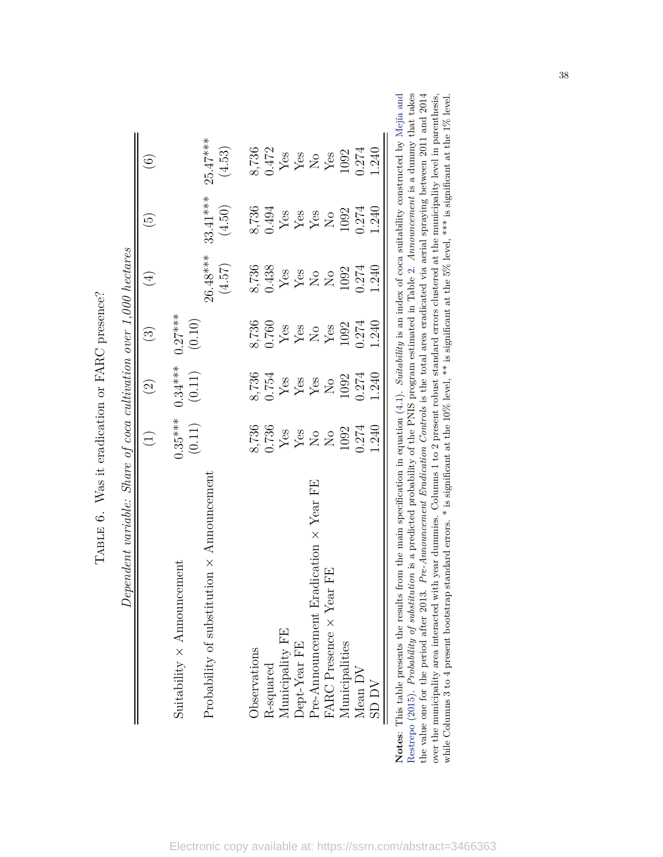|                                                                                 | $\widehat{\Xi}$                                                                                                                 | $\widehat{\mathfrak{D}}$                                                                                                          | $\widetilde{\Xi}$                                                                                                | $(\pm)$                                                                                                                         | $\widetilde{\mathbb{G}}$                                                                                                                                                                                                                                                                                                                                                                                                                                                                             | $\widehat{\odot}$                                                                                          |
|---------------------------------------------------------------------------------|---------------------------------------------------------------------------------------------------------------------------------|-----------------------------------------------------------------------------------------------------------------------------------|------------------------------------------------------------------------------------------------------------------|---------------------------------------------------------------------------------------------------------------------------------|------------------------------------------------------------------------------------------------------------------------------------------------------------------------------------------------------------------------------------------------------------------------------------------------------------------------------------------------------------------------------------------------------------------------------------------------------------------------------------------------------|------------------------------------------------------------------------------------------------------------|
| Suitability $\times$ Announcement                                               | $0.35***$                                                                                                                       | $0.34***$                                                                                                                         | $0.27***$                                                                                                        |                                                                                                                                 |                                                                                                                                                                                                                                                                                                                                                                                                                                                                                                      |                                                                                                            |
| titution $\times$ Announcement<br>Probability of subs                           | (0.11)                                                                                                                          | (0.11)                                                                                                                            | $\left( 0.10\right)$                                                                                             | $26.48***$<br>(4.57)                                                                                                            | $33.41***$<br>(4.50)                                                                                                                                                                                                                                                                                                                                                                                                                                                                                 | 25.47****<br>(4.53)                                                                                        |
| Observations                                                                    |                                                                                                                                 |                                                                                                                                   |                                                                                                                  |                                                                                                                                 |                                                                                                                                                                                                                                                                                                                                                                                                                                                                                                      |                                                                                                            |
| R-squared                                                                       |                                                                                                                                 |                                                                                                                                   |                                                                                                                  |                                                                                                                                 | 8,736<br>0.494                                                                                                                                                                                                                                                                                                                                                                                                                                                                                       |                                                                                                            |
| Municipality FE                                                                 | $\begin{array}{l} 8,736 \\ 0.736 \\ \text{Yes} \\ \text{Yes} \\ \text{No} \\ \text{NO} \\ \text{NO} \\ \text{1092} \end{array}$ | $\begin{array}{l} 8,736 \\ 0.754 \\ \text{Yes} \\ \text{Yes} \\ \text{Yes} \\ \text{Yes} \\ \text{No} \\ \text{1092} \end{array}$ | $\begin{array}{l} 8,736 \\ 0.760 \\ \text{Yes} \\ \text{Yes} \\ \text{Yes} \\ \text{Yes} \\ 1092 \\ \end{array}$ | $\begin{array}{l} 8,736 \\ 0.438 \\ \text{Yes} \\ \text{Yes} \\ \text{No} \\ \text{No} \\ \text{NO} \\ \text{1092} \end{array}$ |                                                                                                                                                                                                                                                                                                                                                                                                                                                                                                      | $\begin{array}{l} 8,736 \\ 0.472 \\ \text{Yes} \\ \text{Yes} \\ \text{Yes} \\ 1092 \\ 1092 \\ \end{array}$ |
| $\ensuremath{\mathsf{verb}}\xspace\text{-}\ensuremath{\mathsf{Year}}\xspace$ FE |                                                                                                                                 |                                                                                                                                   |                                                                                                                  |                                                                                                                                 |                                                                                                                                                                                                                                                                                                                                                                                                                                                                                                      |                                                                                                            |
| Eradication $\times$ Year FE<br>Pre-Announcement                                |                                                                                                                                 |                                                                                                                                   |                                                                                                                  |                                                                                                                                 |                                                                                                                                                                                                                                                                                                                                                                                                                                                                                                      |                                                                                                            |
| $Year$ FE<br>FARC Presence ×                                                    |                                                                                                                                 |                                                                                                                                   |                                                                                                                  |                                                                                                                                 | $\begin{array}{l}\n\text{Yes} \\ \text{Yes} \\ \text{Yes} \\ \text{Yes} \\ \text{No} \\ \text{No} \\ \text{No} \\ \text{No} \\ \text{No} \\ \text{No} \\ \text{No} \\ \text{No} \\ \text{No} \\ \text{No} \\ \text{No} \\ \text{No} \\ \text{No} \\ \text{No} \\ \text{No} \\ \text{No} \\ \text{No} \\ \text{No} \\ \text{No} \\ \text{No} \\ \text{No} \\ \text{No} \\ \text{No} \\ \text{No} \\ \text{No} \\ \text{No} \\ \text{No} \\ \text{No} \\ \text{No} \\ \text{No} \\ \text{No} \\ \text$ |                                                                                                            |
| Municipalities                                                                  |                                                                                                                                 |                                                                                                                                   |                                                                                                                  |                                                                                                                                 |                                                                                                                                                                                                                                                                                                                                                                                                                                                                                                      |                                                                                                            |
| $\operatorname{Mean}$ DV                                                        | 0.274                                                                                                                           | 0.274                                                                                                                             | 0.274                                                                                                            | 0.274                                                                                                                           | 0.274                                                                                                                                                                                                                                                                                                                                                                                                                                                                                                |                                                                                                            |
| SD DV                                                                           | 1.240                                                                                                                           | .240                                                                                                                              | .240                                                                                                             | 1.240                                                                                                                           | 1.240                                                                                                                                                                                                                                                                                                                                                                                                                                                                                                | 1.240                                                                                                      |

<span id="page-38-0"></span>TABLE 6. Was it eradication or FARC presence? TABLE 6. Was it eradication or FARC presence?

Restrepo (2015). Probability of substitution is a predicted probability of the PNIS program estimated in Table 2. Announcement is a dummy that takes the value one for the period after 2013. Pre-Announcement Eradication Controls is the total area eradicated via aerial spraying between 2011 and 2014<br>over the municipality area interacted with year dummies. Columns 1 to 2 Notes: This table presents the results from the main specification in equation  $(4.1)$ . Suitability is an index of coca suitability constructed by Mejia and **Notes**: This table presents the results from the main specification in equation ([4.1\)](#page-12-3). *Suitability* is an index of coca suitability constructed by [Mej´ıa](#page-26-5) and [Restrepo](#page-26-5) [\(2015\)](#page-26-5). *Probability of substitution* is a predicted probability of the PNIS program estimated in Table [2.](#page-34-0) *Announcement* is a dummy that takes the value one for the period after 2013. *Pre-Announcement Eradication Controls* is the total area eradicated via aerial spraying between 2011 and 2014 over the municipality area interacted with year dummies. Columns 1 to 2 present robust standard errors clustered at the municipality level in parenthesis, while Columns 3 to 4 present bootstrap standard errors. \* is significant at the 10% level, \*\* is significant at the 5% level, \*\*\* is significant at the 1% level.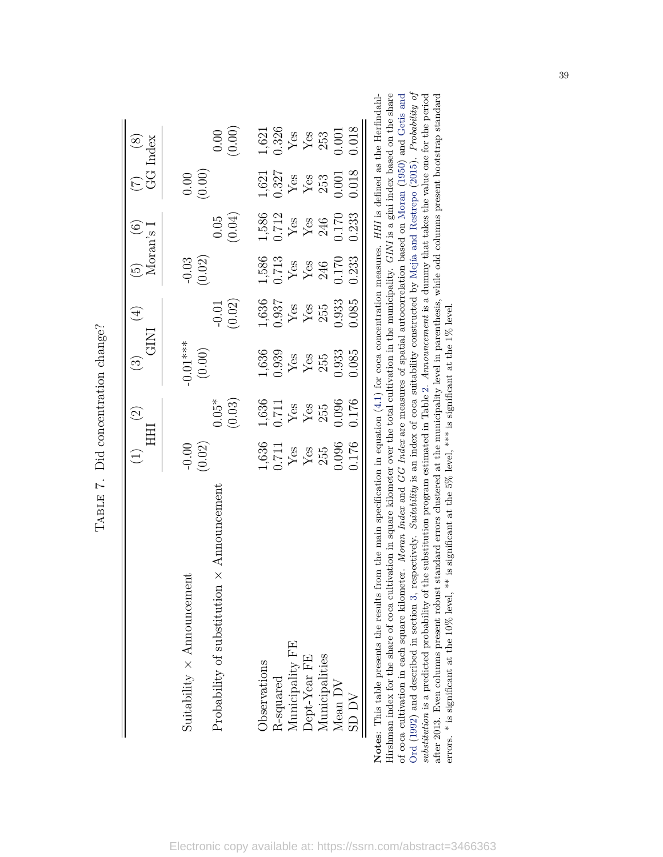|                                                                                                    | HH <sup>-</sup><br>$\left(\frac{1}{2}\right)$                                                      | $\odot$                                                                                                                                                                                                                                                                                                                                             | <b>NIC</b><br>$\widehat{S}$                                                                        | $\bigoplus$                                                                                        | <i>A</i> oran's I<br>$\widehat{\mathfrak{S}}$                                      | $\widehat{\odot}$                                                                                  |                                                                                                | $\begin{array}{cc} (7) & (8) \\ \text{G}\text{G Index} \end{array}$                                    |
|----------------------------------------------------------------------------------------------------|----------------------------------------------------------------------------------------------------|-----------------------------------------------------------------------------------------------------------------------------------------------------------------------------------------------------------------------------------------------------------------------------------------------------------------------------------------------------|----------------------------------------------------------------------------------------------------|----------------------------------------------------------------------------------------------------|------------------------------------------------------------------------------------|----------------------------------------------------------------------------------------------------|------------------------------------------------------------------------------------------------|--------------------------------------------------------------------------------------------------------|
| Probability of substitution $\times$ Announcement<br>Suitability $\times$ Announcement             | $-0.00$<br>$(0.02)$                                                                                | $\begin{array}{c} 0.05^* \\ (0.03) \end{array}$                                                                                                                                                                                                                                                                                                     | $-0.01$ ***<br>$(0.00)$                                                                            | $-0.01$<br>$(0.02)$                                                                                | $-0.03$<br>(0.02)                                                                  | (0.05)                                                                                             | (0.00)                                                                                         | (0.00)                                                                                                 |
| Municipality FE<br>Dept-Year FE<br>Municipalities<br>Observations<br>R-squared<br>Mean DV<br>SD DV | $\begin{array}{l} 1,636 \\ 0.711 \\ \text{Yes} \\ \text{Yes} \\ 255 \\ 0.096 \\ 0.176 \end{array}$ | $\frac{1,636}{1,711}$<br>$\frac{1}{1}$<br>$\frac{1}{1}$<br>$\frac{1}{1}$<br>$\frac{1}{1}$<br>$\frac{1}{1}$<br>$\frac{1}{1}$<br>$\frac{1}{1}$<br>$\frac{1}{1}$<br>$\frac{1}{1}$<br>$\frac{1}{1}$<br>$\frac{1}{1}$<br>$\frac{1}{1}$<br>$\frac{1}{1}$<br>$\frac{1}{1}$<br>$\frac{1}{1}$<br>$\frac{1}{1}$<br>$\frac{1}{1}$<br>$\frac{1}{1}$<br>$\frac{$ | $\begin{array}{c} 1,636 \\ 0.939 \\ \text{Yes} \\ \text{Yes} \\ 255 \\ 0.933 \end{array}$<br>0.085 | $\begin{array}{c} 1,636 \\ 0.937 \\ \text{Yes} \\ \text{Yes} \\ 255 \\ 0.933 \end{array}$<br>0.085 | $\frac{1,586}{1,713}$<br>$\frac{Yes}{Yes}$<br>$\frac{246}{2170}$<br>0.170<br>0.233 | $\begin{array}{c} 1,586 \\ 0.712 \\ \text{Yes} \\ \text{Yes} \\ 246 \\ 0.170 \end{array}$<br>0.233 | $\begin{array}{l} 1,621 \\ 0.327 \\ \text{Yes} \\ \text{Yes} \\ 0.001 \\ 0.001 \\ \end{array}$ | $\begin{array}{l} 1,621 \\ 0.326 \\ \text{Yes} \\ 1,68 \\ \text{Yes} \\ 0.001 \\ 0.001 \\ \end{array}$ |

<span id="page-39-0"></span>TABLE 7. Did concentration change? TABLE 7. Did concentration change?

lahl-**TOOES.** This value presence we resume mum are main speculation in equation  $(x, t)$  for over concentration measures. This is a gini index based on the share if its and the share of coca cultivation in square kilometer over Ord (1992) and described in section 3, respectively. Suitability is an index of coca suitability constructed by Mejía and Restrepo (2015). Probability of of coca cultivation in each square kilometer. Moran Index and GG Index are measures of spatial autocorrelation based on Moran (1950) and Getis and [Ord](#page-26-18) [\(1992\)](#page-26-18) and described in section [3,](#page-8-0) respectively. *Suitability* is an index of coca suitability constructed by Mej´ıa and [Restrepo](#page-26-5) ([2015\)](#page-26-5). *Probability of* substitution is a predicted probability of the substitution program estimated in Table 2. Announcement is a dummy that takes the value one for the period Hirshman index for the share of coca cultivation in square kilometer over the total cultivation in the municipality. *GINI* is a gini index based on the share *substitution* is a predicted probability of the substitution program estimated in Table [2.](#page-34-0) *Announcement* is a dummy that takes the value one for the period after 2013. Even columns present robust standard errors clustered at the municipality level in parenthesis, while odd columns present bootstrap standard **Notes**: This table presents the results from the main specification in equation [\(4.1\)](#page-12-3) for coca concentration measures. *HHI* is defined as the Herfindahlof coca cultivation in each square kilometer. *Moran Index* and *GG Index* are measures of spatial autocorrelation based on [Moran](#page-26-17) [\(1950\)](#page-26-17) and [Getis](#page-26-18) and after 2013. Even columns present robust standard errors clustered at the municipality level in parenthesis, while odd columns present bootstrap standard errors. \* is significant at the 10% level, \*\* is significant at the 5% level, \*\*\* is significant at the 1% level. errors. \* is significant at the 10% level, \*\* is significant at the 5% level, \*\*\* is significant at the 1% level. Note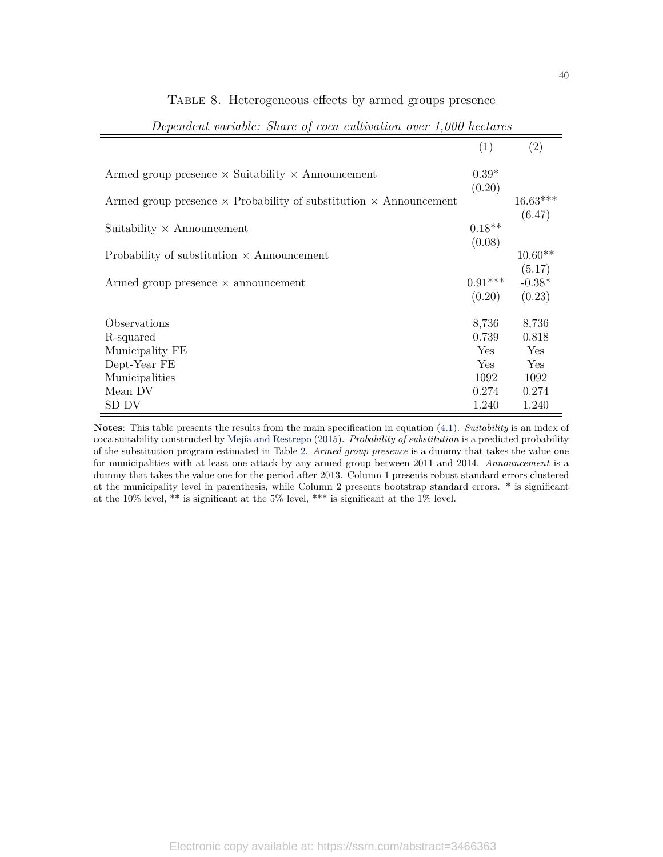#### Table 8. Heterogeneous effects by armed groups presence

<span id="page-40-0"></span>

|                                                                                 | (1)        | (2)        |
|---------------------------------------------------------------------------------|------------|------------|
| Armed group presence $\times$ Suitability $\times$ Announcement                 | $0.39*$    |            |
|                                                                                 | (0.20)     |            |
| Armed group presence $\times$ Probability of substitution $\times$ Announcement |            | $16.63***$ |
|                                                                                 |            | (6.47)     |
| Suitability $\times$ Announcement                                               | $0.18**$   |            |
|                                                                                 | (0.08)     |            |
| Probability of substitution $\times$ Announcement                               |            | $10.60**$  |
|                                                                                 |            | (5.17)     |
| Armed group presence $\times$ announcement                                      | $0.91***$  | $-0.38*$   |
|                                                                                 | (0.20)     | (0.23)     |
|                                                                                 |            |            |
| Observations                                                                    | 8,736      | 8,736      |
| R-squared                                                                       | 0.739      | 0.818      |
| Municipality FE                                                                 | <b>Yes</b> | Yes        |
| Dept-Year FE                                                                    | <b>Yes</b> | Yes.       |
| Municipalities                                                                  | 1092       | 1092       |
| Mean DV                                                                         | 0.274      | 0.274      |
| SD DV                                                                           | 1.240      | 1.240      |

*Dependent variable: Share of coca cultivation over 1,000 hectares*

**Notes**: This table presents the results from the main specification in equation [\(4.1\)](#page-12-3). *Suitability* is an index of coca suitability constructed by Mejía and Restrepo [\(2015\)](#page-26-5). *Probability of substitution* is a predicted probability of the substitution program estimated in Table [2.](#page-34-0) *Armed group presence* is a dummy that takes the value one for municipalities with at least one attack by any armed group between 2011 and 2014. *Announcement* is a dummy that takes the value one for the period after 2013. Column 1 presents robust standard errors clustered at the municipality level in parenthesis, while Column 2 presents bootstrap standard errors. \* is significant at the 10% level, \*\* is significant at the 5% level, \*\*\* is significant at the 1% level.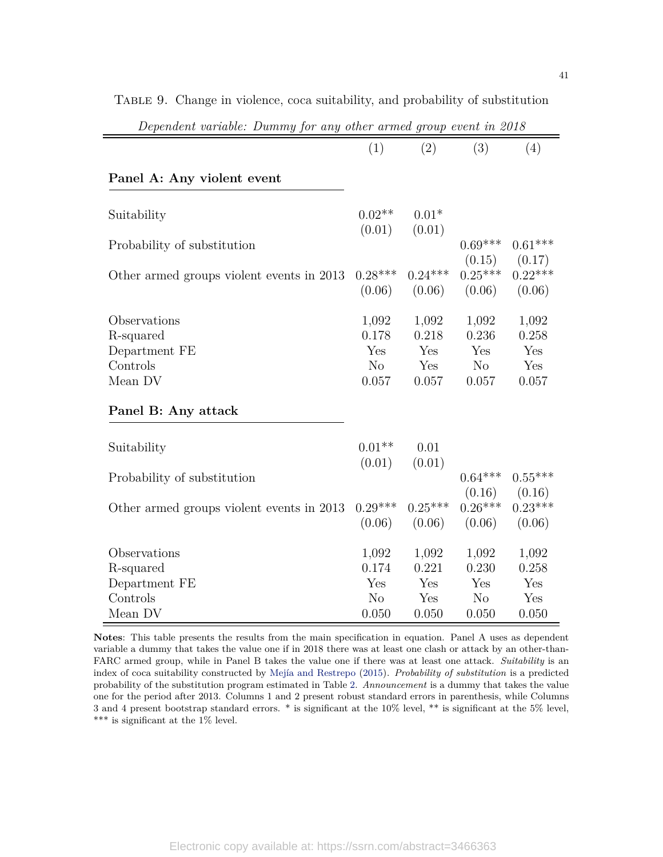|                                           | (1)                 | (2)                 | (3)                 | (4)                 |
|-------------------------------------------|---------------------|---------------------|---------------------|---------------------|
| Panel A: Any violent event                |                     |                     |                     |                     |
| Suitability                               | $0.02**$<br>(0.01)  | $0.01*$<br>(0.01)   |                     |                     |
| Probability of substitution               |                     |                     | $0.69***$<br>(0.15) | $0.61***$<br>(0.17) |
| Other armed groups violent events in 2013 | $0.28***$<br>(0.06) | $0.24***$<br>(0.06) | $0.25***$<br>(0.06) | $0.22***$<br>(0.06) |
| Observations                              | 1,092               | 1,092               | 1,092               | 1,092               |
| R-squared                                 | 0.178               | 0.218               | 0.236               | 0.258               |
| Department FE                             | Yes                 | Yes                 | Yes                 | Yes                 |
| Controls                                  | N <sub>o</sub>      | Yes                 | N <sub>o</sub>      | Yes                 |
| Mean DV                                   | 0.057               | 0.057               | 0.057               | 0.057               |
| Panel B: Any attack                       |                     |                     |                     |                     |
| Suitability                               | $0.01**$            | 0.01                |                     |                     |
|                                           | (0.01)              | (0.01)              |                     |                     |
| Probability of substitution               |                     |                     | $0.64***$           | $0.55***$           |
|                                           |                     |                     | (0.16)              | (0.16)              |
| Other armed groups violent events in 2013 | $0.29***$           | $0.25***$           | $0.26***$           | $0.23***$           |
|                                           | (0.06)              | (0.06)              | (0.06)              | (0.06)              |
| Observations                              | 1,092               | 1,092               | 1,092               | 1,092               |
| R-squared                                 | 0.174               | 0.221               | 0.230               | 0.258               |
| Department FE                             | Yes                 | Yes                 | Yes                 | Yes                 |
| Controls                                  | N <sub>o</sub>      | Yes                 | N <sub>o</sub>      | Yes                 |
| Mean DV                                   | 0.050               | 0.050               | 0.050               | 0.050               |

<span id="page-41-0"></span>Table 9. Change in violence, coca suitability, and probability of substitution

*Dependent variable: Dummy for any other armed group event in 2018*

**Notes**: This table presents the results from the main specification in equation. Panel A uses as dependent variable a dummy that takes the value one if in 2018 there was at least one clash or attack by an other-than-FARC armed group, while in Panel B takes the value one if there was at least one attack. *Suitability* is an index of coca suitability constructed by Mejía and Restrepo [\(2015\)](#page-26-5). *Probability of substitution* is a predicted probability of the substitution program estimated in Table [2.](#page-34-0) *Announcement* is a dummy that takes the value one for the period after 2013. Columns 1 and 2 present robust standard errors in parenthesis, while Columns 3 and 4 present bootstrap standard errors. \* is significant at the 10% level, \*\* is significant at the 5% level, \*\*\* is significant at the 1% level.